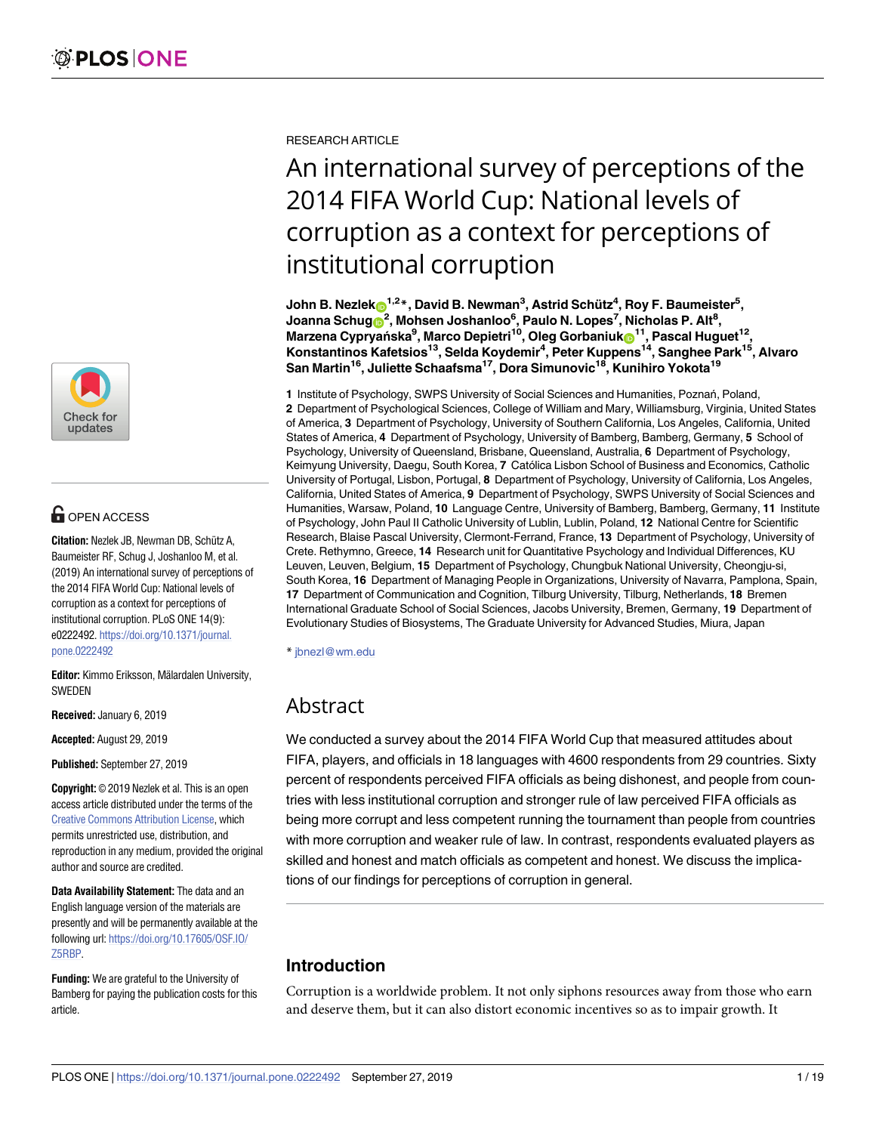

# **OPEN ACCESS**

**Citation:** Nezlek JB, Newman DB, Schütz A, Baumeister RF, Schug J, Joshanloo M, et al. (2019) An international survey of perceptions of the 2014 FIFA World Cup: National levels of corruption as a context for perceptions of institutional corruption. PLoS ONE 14(9): e0222492. [https://doi.org/10.1371/journal.](https://doi.org/10.1371/journal.pone.0222492) [pone.0222492](https://doi.org/10.1371/journal.pone.0222492)

**Editor:** Kimmo Eriksson, Mälardalen University, **SWEDEN** 

**Received:** January 6, 2019

**Accepted:** August 29, 2019

**Published:** September 27, 2019

**Copyright:** © 2019 Nezlek et al. This is an open access article distributed under the terms of the Creative Commons [Attribution](http://creativecommons.org/licenses/by/4.0/) License, which permits unrestricted use, distribution, and reproduction in any medium, provided the original author and source are credited.

**Data Availability Statement:** The data and an English language version of the materials are presently and will be permanently available at the following url: [https://doi.org/10.17605/OSF.IO/](https://doi.org/10.17605/OSF.IO/Z5RBP) [Z5RBP.](https://doi.org/10.17605/OSF.IO/Z5RBP)

**Funding:** We are grateful to the University of Bamberg for paying the publication costs for this article.

RESEARCH ARTICLE

# An international survey of perceptions of the 2014 FIFA World Cup: National levels of corruption as a context for perceptions of institutional corruption

 $\delta$ John B. Nezlek $\mathbf{D}^{1,2}$ \*, David B. Newman $^3$ , Astrid Schütz $^4$ , Roy F. Baumeister $^5$ ,  $\lambda$  Joanna Schug $\odot^2$ , Mohsen Joshanloo $^6$ , Paulo N. Lopes<sup>7</sup>, Nicholas P. Alt $^8$ , **Marzena Cypryańska9 , Marco Depietri10, Oleg Gorbaniuk[ID1](http://orcid.org/0000-0001-9830-8537)1, Pascal Huguet12, Konstantinos Kafetsios13, Selda Koydemir4 , Peter Kuppens14, Sanghee Park15, Alvaro San Martin16, Juliette Schaafsma17, Dora Simunovic18, Kunihiro Yokota19**

**1** Institute of Psychology, SWPS University of Social Sciences and Humanities, Poznań, Poland, **2** Department of Psychological Sciences, College of William and Mary, Williamsburg, Virginia, United States of America, **3** Department of Psychology, University of Southern California, Los Angeles, California, United States of America, **4** Department of Psychology, University of Bamberg, Bamberg, Germany, **5** School of Psychology, University of Queensland, Brisbane, Queensland, Australia, **6** Department of Psychology, Keimyung University, Daegu, South Korea, 7 Católica Lisbon School of Business and Economics, Catholic University of Portugal, Lisbon, Portugal, **8** Department of Psychology, University of California, Los Angeles, California, United States of America, **9** Department of Psychology, SWPS University of Social Sciences and Humanities, Warsaw, Poland, **10** Language Centre, University of Bamberg, Bamberg, Germany, **11** Institute of Psychology, John Paul II Catholic University of Lublin, Lublin, Poland, **12** National Centre for Scientific Research, Blaise Pascal University, Clermont-Ferrand, France, **13** Department of Psychology, University of Crete. Rethymno, Greece, **14** Research unit for Quantitative Psychology and Individual Differences, KU Leuven, Leuven, Belgium, **15** Department of Psychology, Chungbuk National University, Cheongju-si, South Korea, **16** Department of Managing People in Organizations, University of Navarra, Pamplona, Spain, **17** Department of Communication and Cognition, Tilburg University, Tilburg, Netherlands, **18** Bremen International Graduate School of Social Sciences, Jacobs University, Bremen, Germany, **19** Department of Evolutionary Studies of Biosystems, The Graduate University for Advanced Studies, Miura, Japan

\* jbnezl@wm.edu

# Abstract

We conducted a survey about the 2014 FIFA World Cup that measured attitudes about FIFA, players, and officials in 18 languages with 4600 respondents from 29 countries. Sixty percent of respondents perceived FIFA officials as being dishonest, and people from countries with less institutional corruption and stronger rule of law perceived FIFA officials as being more corrupt and less competent running the tournament than people from countries with more corruption and weaker rule of law. In contrast, respondents evaluated players as skilled and honest and match officials as competent and honest. We discuss the implications of our findings for perceptions of corruption in general.

# **Introduction**

Corruption is a worldwide problem. It not only siphons resources away from those who earn and deserve them, but it can also distort economic incentives so as to impair growth. It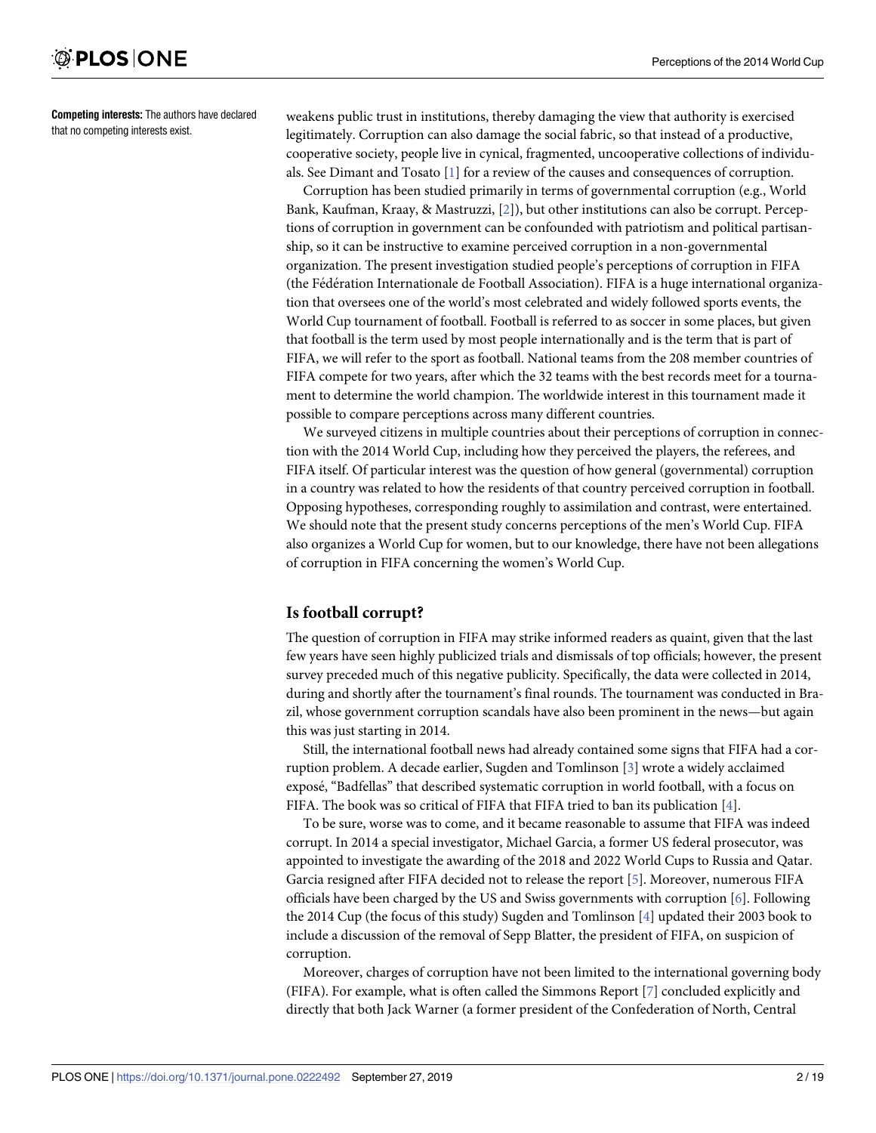<span id="page-1-0"></span>**Competing interests:** The authors have declared that no competing interests exist.

weakens public trust in institutions, thereby damaging the view that authority is exercised legitimately. Corruption can also damage the social fabric, so that instead of a productive, cooperative society, people live in cynical, fragmented, uncooperative collections of individuals. See Dimant and Tosato [[1](#page-17-0)] for a review of the causes and consequences of corruption.

Corruption has been studied primarily in terms of governmental corruption (e.g., World Bank, Kaufman, Kraay, & Mastruzzi, [[2\]](#page-17-0)), but other institutions can also be corrupt. Perceptions of corruption in government can be confounded with patriotism and political partisanship, so it can be instructive to examine perceived corruption in a non-governmental organization. The present investigation studied people's perceptions of corruption in FIFA (the Fédération Internationale de Football Association). FIFA is a huge international organization that oversees one of the world's most celebrated and widely followed sports events, the World Cup tournament of football. Football is referred to as soccer in some places, but given that football is the term used by most people internationally and is the term that is part of FIFA, we will refer to the sport as football. National teams from the 208 member countries of FIFA compete for two years, after which the 32 teams with the best records meet for a tournament to determine the world champion. The worldwide interest in this tournament made it possible to compare perceptions across many different countries.

We surveyed citizens in multiple countries about their perceptions of corruption in connection with the 2014 World Cup, including how they perceived the players, the referees, and FIFA itself. Of particular interest was the question of how general (governmental) corruption in a country was related to how the residents of that country perceived corruption in football. Opposing hypotheses, corresponding roughly to assimilation and contrast, were entertained. We should note that the present study concerns perceptions of the men's World Cup. FIFA also organizes a World Cup for women, but to our knowledge, there have not been allegations of corruption in FIFA concerning the women's World Cup.

#### **Is football corrupt?**

The question of corruption in FIFA may strike informed readers as quaint, given that the last few years have seen highly publicized trials and dismissals of top officials; however, the present survey preceded much of this negative publicity. Specifically, the data were collected in 2014, during and shortly after the tournament's final rounds. The tournament was conducted in Brazil, whose government corruption scandals have also been prominent in the news—but again this was just starting in 2014.

Still, the international football news had already contained some signs that FIFA had a corruption problem. A decade earlier, Sugden and Tomlinson [[3](#page-17-0)] wrote a widely acclaimed exposé, "Badfellas" that described systematic corruption in world football, with a focus on FIFA. The book was so critical of FIFA that FIFA tried to ban its publication [[4](#page-17-0)].

To be sure, worse was to come, and it became reasonable to assume that FIFA was indeed corrupt. In 2014 a special investigator, Michael Garcia, a former US federal prosecutor, was appointed to investigate the awarding of the 2018 and 2022 World Cups to Russia and Qatar. Garcia resigned after FIFA decided not to release the report [[5](#page-17-0)]. Moreover, numerous FIFA officials have been charged by the US and Swiss governments with corruption [\[6\]](#page-17-0). Following the 2014 Cup (the focus of this study) Sugden and Tomlinson [[4](#page-17-0)] updated their 2003 book to include a discussion of the removal of Sepp Blatter, the president of FIFA, on suspicion of corruption.

Moreover, charges of corruption have not been limited to the international governing body (FIFA). For example, what is often called the Simmons Report [\[7\]](#page-17-0) concluded explicitly and directly that both Jack Warner (a former president of the Confederation of North, Central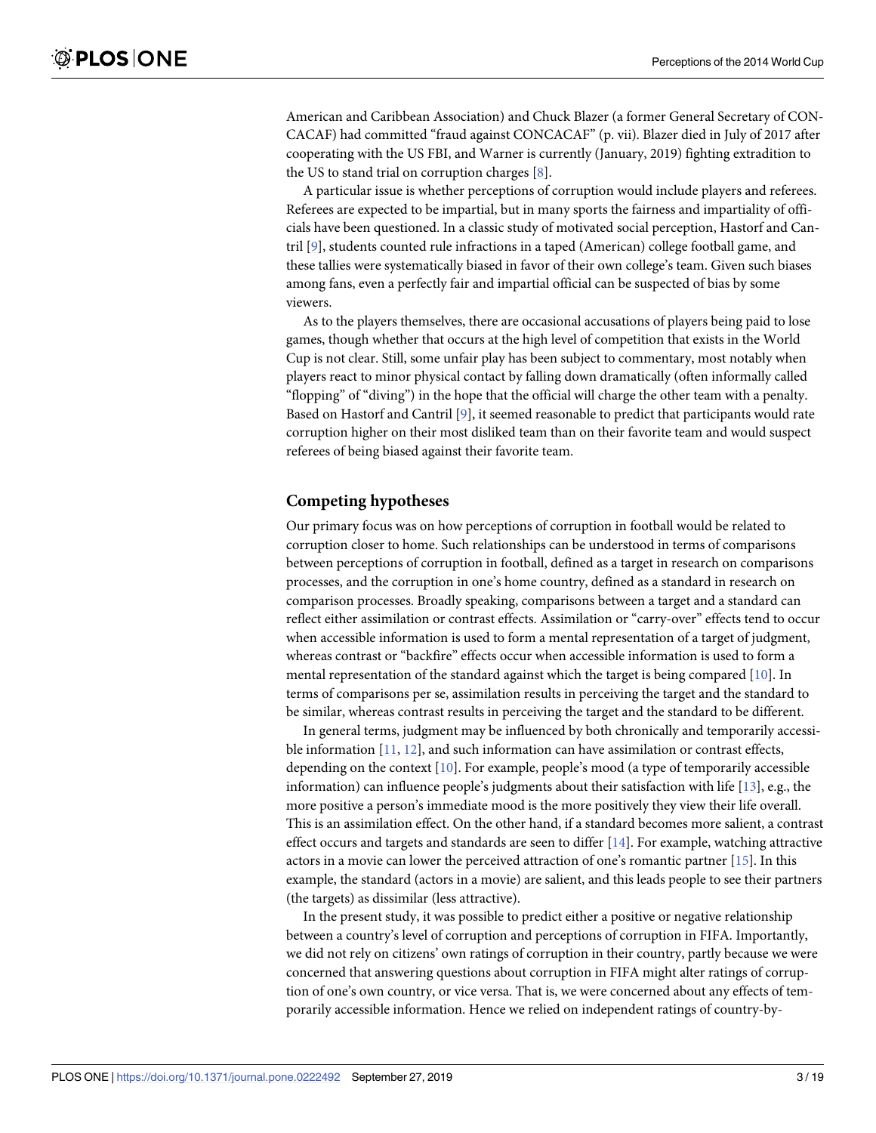<span id="page-2-0"></span>American and Caribbean Association) and Chuck Blazer (a former General Secretary of CON-CACAF) had committed "fraud against CONCACAF" (p. vii). Blazer died in July of 2017 after cooperating with the US FBI, and Warner is currently (January, 2019) fighting extradition to the US to stand trial on corruption charges [[8](#page-17-0)].

A particular issue is whether perceptions of corruption would include players and referees. Referees are expected to be impartial, but in many sports the fairness and impartiality of officials have been questioned. In a classic study of motivated social perception, Hastorf and Cantril [\[9](#page-17-0)], students counted rule infractions in a taped (American) college football game, and these tallies were systematically biased in favor of their own college's team. Given such biases among fans, even a perfectly fair and impartial official can be suspected of bias by some viewers.

As to the players themselves, there are occasional accusations of players being paid to lose games, though whether that occurs at the high level of competition that exists in the World Cup is not clear. Still, some unfair play has been subject to commentary, most notably when players react to minor physical contact by falling down dramatically (often informally called "flopping" of "diving") in the hope that the official will charge the other team with a penalty. Based on Hastorf and Cantril [[9\]](#page-17-0), it seemed reasonable to predict that participants would rate corruption higher on their most disliked team than on their favorite team and would suspect referees of being biased against their favorite team.

## **Competing hypotheses**

Our primary focus was on how perceptions of corruption in football would be related to corruption closer to home. Such relationships can be understood in terms of comparisons between perceptions of corruption in football, defined as a target in research on comparisons processes, and the corruption in one's home country, defined as a standard in research on comparison processes. Broadly speaking, comparisons between a target and a standard can reflect either assimilation or contrast effects. Assimilation or "carry-over" effects tend to occur when accessible information is used to form a mental representation of a target of judgment, whereas contrast or "backfire" effects occur when accessible information is used to form a mental representation of the standard against which the target is being compared [\[10\]](#page-17-0). In terms of comparisons per se, assimilation results in perceiving the target and the standard to be similar, whereas contrast results in perceiving the target and the standard to be different.

In general terms, judgment may be influenced by both chronically and temporarily accessible information  $[11, 12]$  $[11, 12]$  $[11, 12]$ , and such information can have assimilation or contrast effects, depending on the context [\[10\]](#page-17-0). For example, people's mood (a type of temporarily accessible information) can influence people's judgments about their satisfaction with life [\[13\]](#page-17-0), e.g., the more positive a person's immediate mood is the more positively they view their life overall. This is an assimilation effect. On the other hand, if a standard becomes more salient, a contrast effect occurs and targets and standards are seen to differ [[14](#page-17-0)]. For example, watching attractive actors in a movie can lower the perceived attraction of one's romantic partner [\[15\]](#page-18-0). In this example, the standard (actors in a movie) are salient, and this leads people to see their partners (the targets) as dissimilar (less attractive).

In the present study, it was possible to predict either a positive or negative relationship between a country's level of corruption and perceptions of corruption in FIFA. Importantly, we did not rely on citizens' own ratings of corruption in their country, partly because we were concerned that answering questions about corruption in FIFA might alter ratings of corruption of one's own country, or vice versa. That is, we were concerned about any effects of temporarily accessible information. Hence we relied on independent ratings of country-by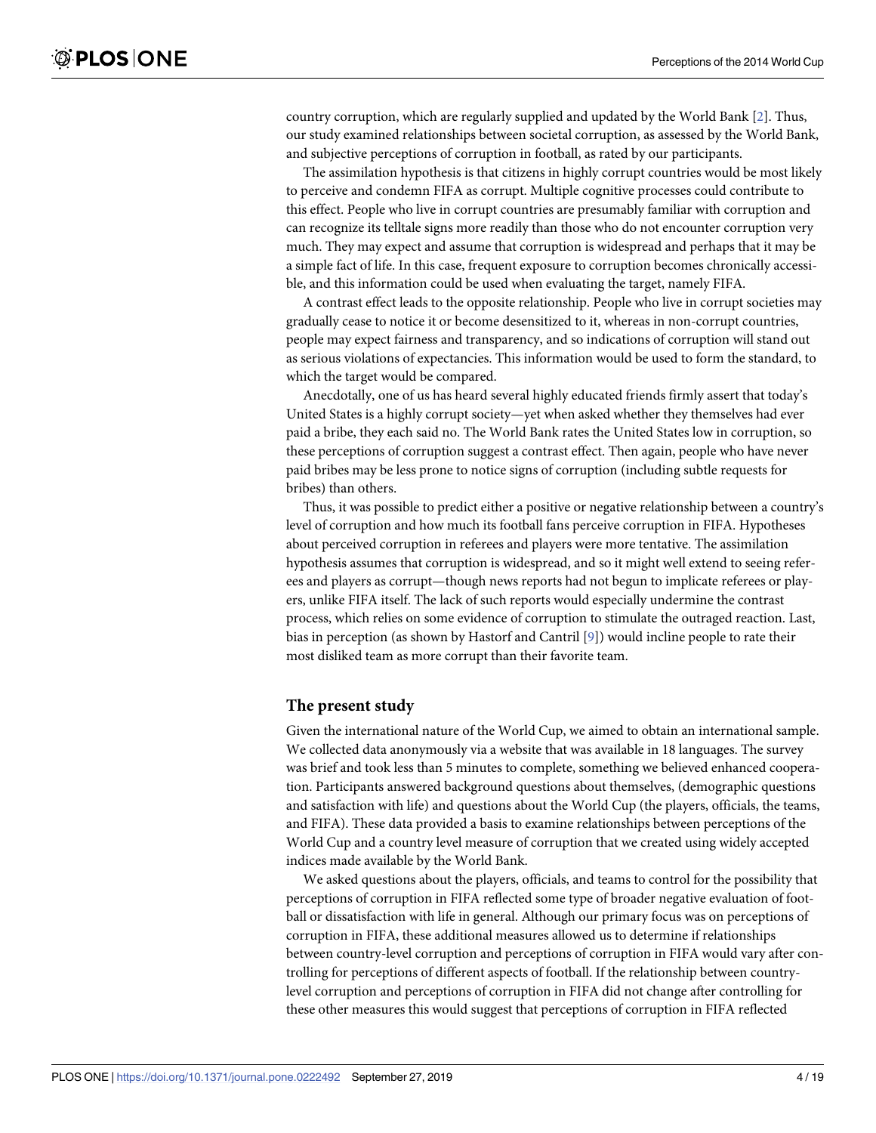country corruption, which are regularly supplied and updated by the World Bank [\[2\]](#page-17-0). Thus, our study examined relationships between societal corruption, as assessed by the World Bank, and subjective perceptions of corruption in football, as rated by our participants.

The assimilation hypothesis is that citizens in highly corrupt countries would be most likely to perceive and condemn FIFA as corrupt. Multiple cognitive processes could contribute to this effect. People who live in corrupt countries are presumably familiar with corruption and can recognize its telltale signs more readily than those who do not encounter corruption very much. They may expect and assume that corruption is widespread and perhaps that it may be a simple fact of life. In this case, frequent exposure to corruption becomes chronically accessible, and this information could be used when evaluating the target, namely FIFA.

A contrast effect leads to the opposite relationship. People who live in corrupt societies may gradually cease to notice it or become desensitized to it, whereas in non-corrupt countries, people may expect fairness and transparency, and so indications of corruption will stand out as serious violations of expectancies. This information would be used to form the standard, to which the target would be compared.

Anecdotally, one of us has heard several highly educated friends firmly assert that today's United States is a highly corrupt society—yet when asked whether they themselves had ever paid a bribe, they each said no. The World Bank rates the United States low in corruption, so these perceptions of corruption suggest a contrast effect. Then again, people who have never paid bribes may be less prone to notice signs of corruption (including subtle requests for bribes) than others.

Thus, it was possible to predict either a positive or negative relationship between a country's level of corruption and how much its football fans perceive corruption in FIFA. Hypotheses about perceived corruption in referees and players were more tentative. The assimilation hypothesis assumes that corruption is widespread, and so it might well extend to seeing referees and players as corrupt—though news reports had not begun to implicate referees or players, unlike FIFA itself. The lack of such reports would especially undermine the contrast process, which relies on some evidence of corruption to stimulate the outraged reaction. Last, bias in perception (as shown by Hastorf and Cantril [[9\]](#page-17-0)) would incline people to rate their most disliked team as more corrupt than their favorite team.

## **The present study**

Given the international nature of the World Cup, we aimed to obtain an international sample. We collected data anonymously via a website that was available in 18 languages. The survey was brief and took less than 5 minutes to complete, something we believed enhanced cooperation. Participants answered background questions about themselves, (demographic questions and satisfaction with life) and questions about the World Cup (the players, officials, the teams, and FIFA). These data provided a basis to examine relationships between perceptions of the World Cup and a country level measure of corruption that we created using widely accepted indices made available by the World Bank.

We asked questions about the players, officials, and teams to control for the possibility that perceptions of corruption in FIFA reflected some type of broader negative evaluation of football or dissatisfaction with life in general. Although our primary focus was on perceptions of corruption in FIFA, these additional measures allowed us to determine if relationships between country-level corruption and perceptions of corruption in FIFA would vary after controlling for perceptions of different aspects of football. If the relationship between countrylevel corruption and perceptions of corruption in FIFA did not change after controlling for these other measures this would suggest that perceptions of corruption in FIFA reflected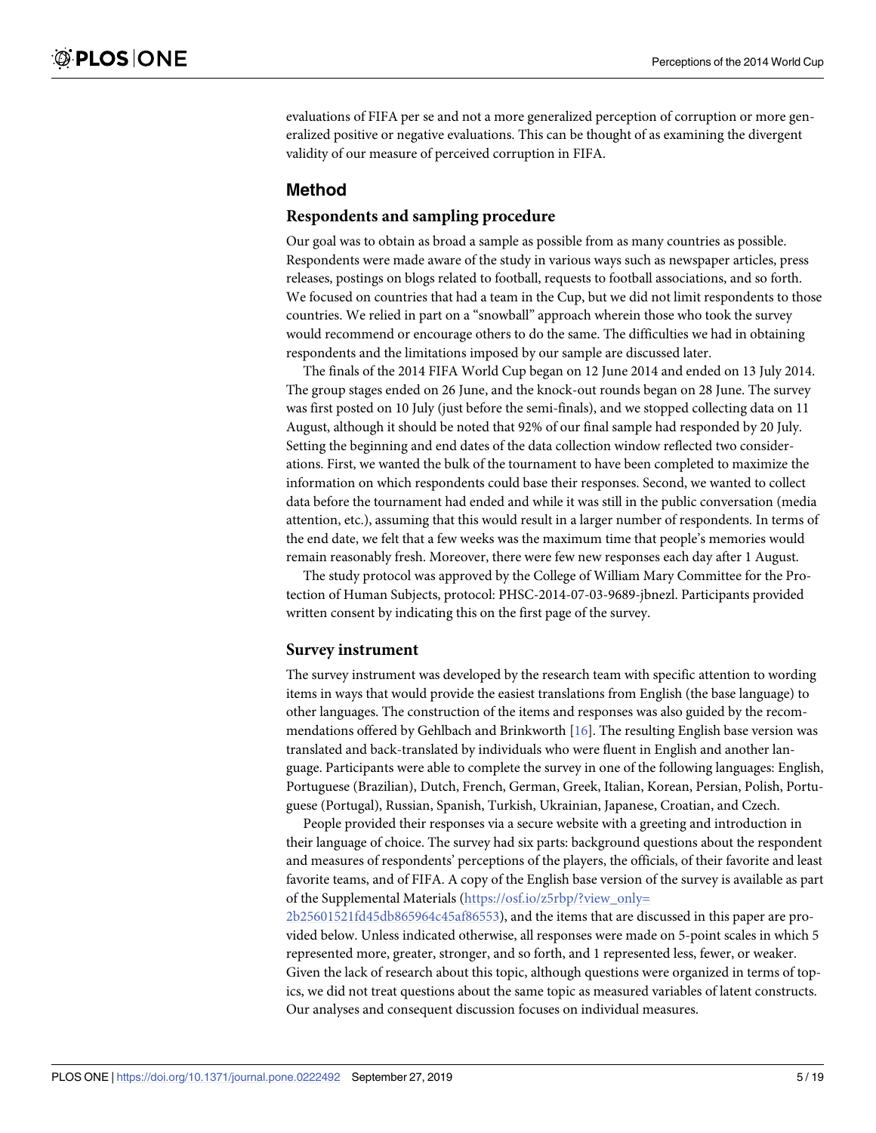<span id="page-4-0"></span>evaluations of FIFA per se and not a more generalized perception of corruption or more generalized positive or negative evaluations. This can be thought of as examining the divergent validity of our measure of perceived corruption in FIFA.

# **Method**

#### **Respondents and sampling procedure**

Our goal was to obtain as broad a sample as possible from as many countries as possible. Respondents were made aware of the study in various ways such as newspaper articles, press releases, postings on blogs related to football, requests to football associations, and so forth. We focused on countries that had a team in the Cup, but we did not limit respondents to those countries. We relied in part on a "snowball" approach wherein those who took the survey would recommend or encourage others to do the same. The difficulties we had in obtaining respondents and the limitations imposed by our sample are discussed later.

The finals of the 2014 FIFA World Cup began on 12 June 2014 and ended on 13 July 2014. The group stages ended on 26 June, and the knock-out rounds began on 28 June. The survey was first posted on 10 July (just before the semi-finals), and we stopped collecting data on 11 August, although it should be noted that 92% of our final sample had responded by 20 July. Setting the beginning and end dates of the data collection window reflected two considerations. First, we wanted the bulk of the tournament to have been completed to maximize the information on which respondents could base their responses. Second, we wanted to collect data before the tournament had ended and while it was still in the public conversation (media attention, etc.), assuming that this would result in a larger number of respondents. In terms of the end date, we felt that a few weeks was the maximum time that people's memories would remain reasonably fresh. Moreover, there were few new responses each day after 1 August.

The study protocol was approved by the College of William Mary Committee for the Protection of Human Subjects, protocol: PHSC-2014-07-03-9689-jbnezl. Participants provided written consent by indicating this on the first page of the survey.

#### **Survey instrument**

The survey instrument was developed by the research team with specific attention to wording items in ways that would provide the easiest translations from English (the base language) to other languages. The construction of the items and responses was also guided by the recommendations offered by Gehlbach and Brinkworth [[16](#page-18-0)]. The resulting English base version was translated and back-translated by individuals who were fluent in English and another language. Participants were able to complete the survey in one of the following languages: English, Portuguese (Brazilian), Dutch, French, German, Greek, Italian, Korean, Persian, Polish, Portuguese (Portugal), Russian, Spanish, Turkish, Ukrainian, Japanese, Croatian, and Czech.

People provided their responses via a secure website with a greeting and introduction in their language of choice. The survey had six parts: background questions about the respondent and measures of respondents' perceptions of the players, the officials, of their favorite and least favorite teams, and of FIFA. A copy of the English base version of the survey is available as part of the Supplemental Materials ([https://osf.io/z5rbp/?view\\_only=](https://osf.io/z5rbp/?view_only=2b25601521fd45db865964c45af86553)

[2b25601521fd45db865964c45af86553](https://osf.io/z5rbp/?view_only=2b25601521fd45db865964c45af86553)), and the items that are discussed in this paper are provided below. Unless indicated otherwise, all responses were made on 5-point scales in which 5 represented more, greater, stronger, and so forth, and 1 represented less, fewer, or weaker. Given the lack of research about this topic, although questions were organized in terms of topics, we did not treat questions about the same topic as measured variables of latent constructs. Our analyses and consequent discussion focuses on individual measures.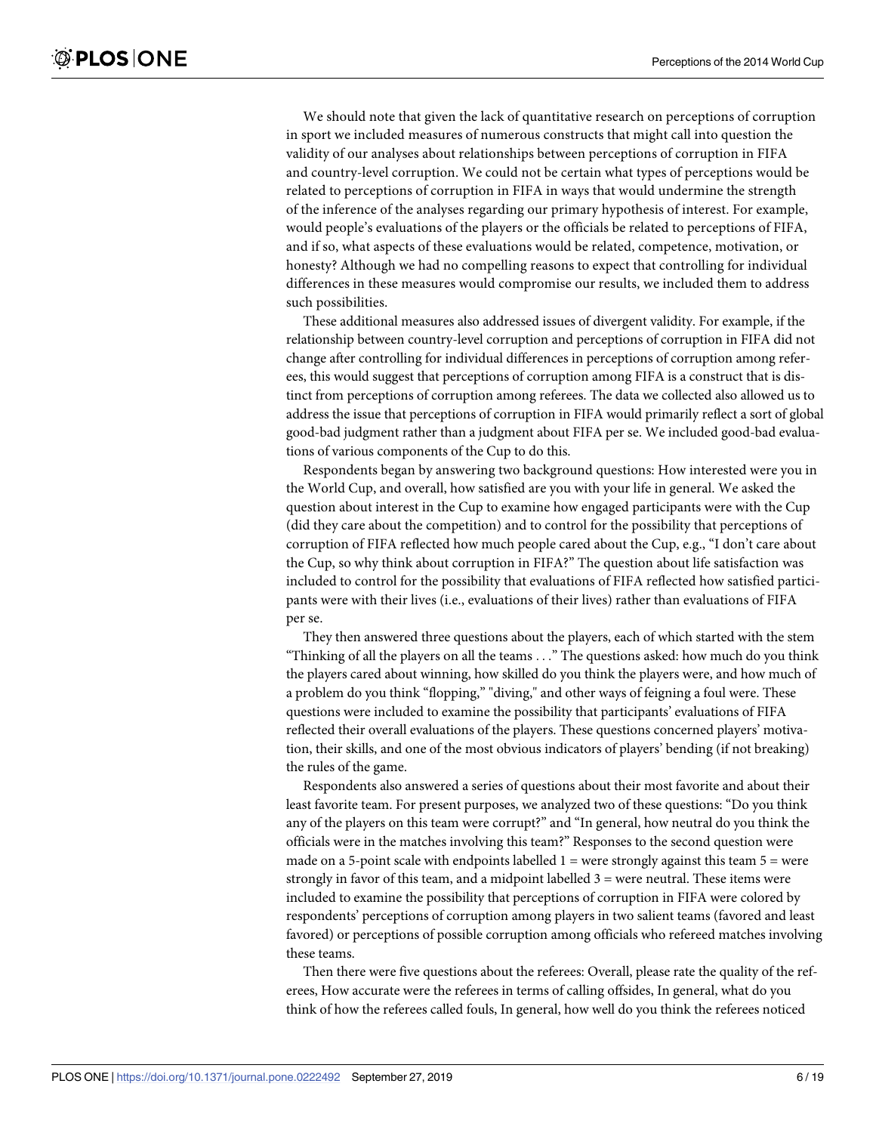We should note that given the lack of quantitative research on perceptions of corruption in sport we included measures of numerous constructs that might call into question the validity of our analyses about relationships between perceptions of corruption in FIFA and country-level corruption. We could not be certain what types of perceptions would be related to perceptions of corruption in FIFA in ways that would undermine the strength of the inference of the analyses regarding our primary hypothesis of interest. For example, would people's evaluations of the players or the officials be related to perceptions of FIFA, and if so, what aspects of these evaluations would be related, competence, motivation, or honesty? Although we had no compelling reasons to expect that controlling for individual differences in these measures would compromise our results, we included them to address such possibilities.

These additional measures also addressed issues of divergent validity. For example, if the relationship between country-level corruption and perceptions of corruption in FIFA did not change after controlling for individual differences in perceptions of corruption among referees, this would suggest that perceptions of corruption among FIFA is a construct that is distinct from perceptions of corruption among referees. The data we collected also allowed us to address the issue that perceptions of corruption in FIFA would primarily reflect a sort of global good-bad judgment rather than a judgment about FIFA per se. We included good-bad evaluations of various components of the Cup to do this.

Respondents began by answering two background questions: How interested were you in the World Cup, and overall, how satisfied are you with your life in general. We asked the question about interest in the Cup to examine how engaged participants were with the Cup (did they care about the competition) and to control for the possibility that perceptions of corruption of FIFA reflected how much people cared about the Cup, e.g., "I don't care about the Cup, so why think about corruption in FIFA?" The question about life satisfaction was included to control for the possibility that evaluations of FIFA reflected how satisfied participants were with their lives (i.e., evaluations of their lives) rather than evaluations of FIFA per se.

They then answered three questions about the players, each of which started with the stem "Thinking of all the players on all the teams . . ." The questions asked: how much do you think the players cared about winning, how skilled do you think the players were, and how much of a problem do you think "flopping," "diving," and other ways of feigning a foul were. These questions were included to examine the possibility that participants' evaluations of FIFA reflected their overall evaluations of the players. These questions concerned players' motivation, their skills, and one of the most obvious indicators of players' bending (if not breaking) the rules of the game.

Respondents also answered a series of questions about their most favorite and about their least favorite team. For present purposes, we analyzed two of these questions: "Do you think any of the players on this team were corrupt?" and "In general, how neutral do you think the officials were in the matches involving this team?" Responses to the second question were made on a 5-point scale with endpoints labelled  $1 =$  were strongly against this team  $5 =$  were strongly in favor of this team, and a midpoint labelled  $3$  = were neutral. These items were included to examine the possibility that perceptions of corruption in FIFA were colored by respondents' perceptions of corruption among players in two salient teams (favored and least favored) or perceptions of possible corruption among officials who refereed matches involving these teams.

Then there were five questions about the referees: Overall, please rate the quality of the referees, How accurate were the referees in terms of calling offsides, In general, what do you think of how the referees called fouls, In general, how well do you think the referees noticed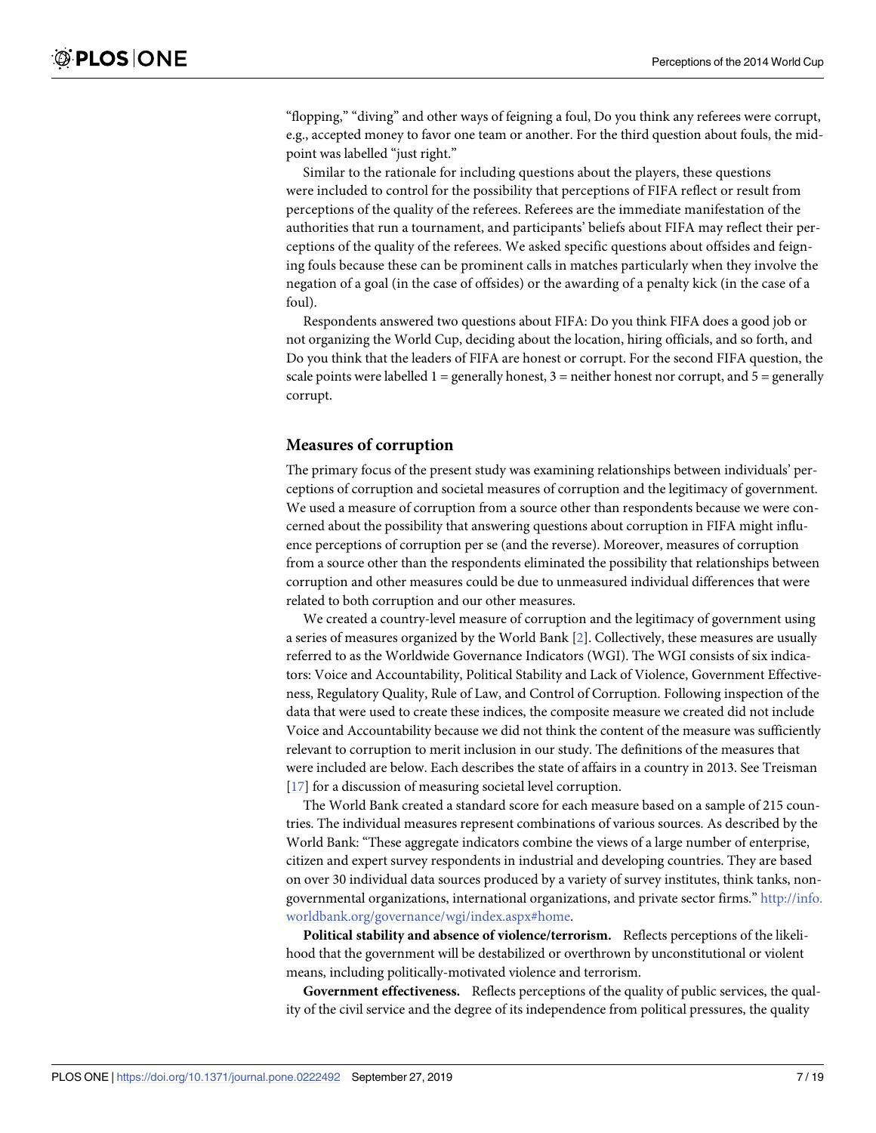<span id="page-6-0"></span>"flopping," "diving" and other ways of feigning a foul, Do you think any referees were corrupt, e.g., accepted money to favor one team or another. For the third question about fouls, the midpoint was labelled "just right."

Similar to the rationale for including questions about the players, these questions were included to control for the possibility that perceptions of FIFA reflect or result from perceptions of the quality of the referees. Referees are the immediate manifestation of the authorities that run a tournament, and participants' beliefs about FIFA may reflect their perceptions of the quality of the referees. We asked specific questions about offsides and feigning fouls because these can be prominent calls in matches particularly when they involve the negation of a goal (in the case of offsides) or the awarding of a penalty kick (in the case of a foul).

Respondents answered two questions about FIFA: Do you think FIFA does a good job or not organizing the World Cup, deciding about the location, hiring officials, and so forth, and Do you think that the leaders of FIFA are honest or corrupt. For the second FIFA question, the scale points were labelled  $1 =$  generally honest,  $3 =$  neither honest nor corrupt, and  $5 =$  generally corrupt.

#### **Measures of corruption**

The primary focus of the present study was examining relationships between individuals' perceptions of corruption and societal measures of corruption and the legitimacy of government. We used a measure of corruption from a source other than respondents because we were concerned about the possibility that answering questions about corruption in FIFA might influence perceptions of corruption per se (and the reverse). Moreover, measures of corruption from a source other than the respondents eliminated the possibility that relationships between corruption and other measures could be due to unmeasured individual differences that were related to both corruption and our other measures.

We created a country-level measure of corruption and the legitimacy of government using a series of measures organized by the World Bank [\[2\]](#page-17-0). Collectively, these measures are usually referred to as the Worldwide Governance Indicators (WGI). The WGI consists of six indicators: Voice and Accountability, Political Stability and Lack of Violence, Government Effectiveness, Regulatory Quality, Rule of Law, and Control of Corruption. Following inspection of the data that were used to create these indices, the composite measure we created did not include Voice and Accountability because we did not think the content of the measure was sufficiently relevant to corruption to merit inclusion in our study. The definitions of the measures that were included are below. Each describes the state of affairs in a country in 2013. See Treisman [\[17\]](#page-18-0) for a discussion of measuring societal level corruption.

The World Bank created a standard score for each measure based on a sample of 215 countries. The individual measures represent combinations of various sources. As described by the World Bank: "These aggregate indicators combine the views of a large number of enterprise, citizen and expert survey respondents in industrial and developing countries. They are based on over 30 individual data sources produced by a variety of survey institutes, think tanks, nongovernmental organizations, international organizations, and private sector firms." [http://info.](http://info.worldbank.org/governance/wgi/index.aspx#home) [worldbank.org/governance/wgi/index.aspx#home.](http://info.worldbank.org/governance/wgi/index.aspx#home)

**Political stability and absence of violence/terrorism.** Reflects perceptions of the likelihood that the government will be destabilized or overthrown by unconstitutional or violent means, including politically-motivated violence and terrorism.

**Government effectiveness.** Reflects perceptions of the quality of public services, the quality of the civil service and the degree of its independence from political pressures, the quality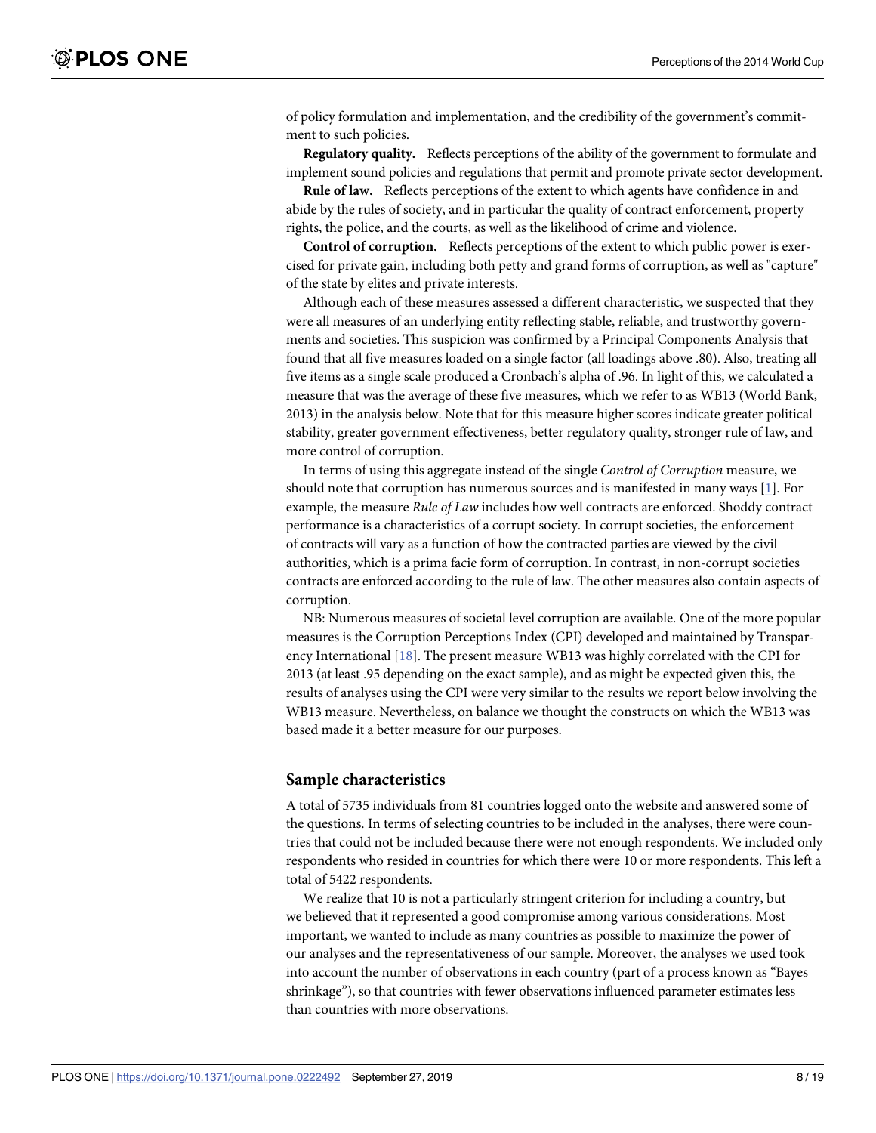<span id="page-7-0"></span>of policy formulation and implementation, and the credibility of the government's commitment to such policies.

**Regulatory quality.** Reflects perceptions of the ability of the government to formulate and implement sound policies and regulations that permit and promote private sector development.

**Rule of law.** Reflects perceptions of the extent to which agents have confidence in and abide by the rules of society, and in particular the quality of contract enforcement, property rights, the police, and the courts, as well as the likelihood of crime and violence.

**Control of corruption.** Reflects perceptions of the extent to which public power is exercised for private gain, including both petty and grand forms of corruption, as well as "capture" of the state by elites and private interests.

Although each of these measures assessed a different characteristic, we suspected that they were all measures of an underlying entity reflecting stable, reliable, and trustworthy governments and societies. This suspicion was confirmed by a Principal Components Analysis that found that all five measures loaded on a single factor (all loadings above .80). Also, treating all five items as a single scale produced a Cronbach's alpha of .96. In light of this, we calculated a measure that was the average of these five measures, which we refer to as WB13 (World Bank, 2013) in the analysis below. Note that for this measure higher scores indicate greater political stability, greater government effectiveness, better regulatory quality, stronger rule of law, and more control of corruption.

In terms of using this aggregate instead of the single *Control of Corruption* measure, we should note that corruption has numerous sources and is manifested in many ways [[1\]](#page-17-0). For example, the measure *Rule of Law* includes how well contracts are enforced. Shoddy contract performance is a characteristics of a corrupt society. In corrupt societies, the enforcement of contracts will vary as a function of how the contracted parties are viewed by the civil authorities, which is a prima facie form of corruption. In contrast, in non-corrupt societies contracts are enforced according to the rule of law. The other measures also contain aspects of corruption.

NB: Numerous measures of societal level corruption are available. One of the more popular measures is the Corruption Perceptions Index (CPI) developed and maintained by Transparency International [\[18](#page-18-0)]. The present measure WB13 was highly correlated with the CPI for 2013 (at least .95 depending on the exact sample), and as might be expected given this, the results of analyses using the CPI were very similar to the results we report below involving the WB13 measure. Nevertheless, on balance we thought the constructs on which the WB13 was based made it a better measure for our purposes.

#### **Sample characteristics**

A total of 5735 individuals from 81 countries logged onto the website and answered some of the questions. In terms of selecting countries to be included in the analyses, there were countries that could not be included because there were not enough respondents. We included only respondents who resided in countries for which there were 10 or more respondents. This left a total of 5422 respondents.

We realize that 10 is not a particularly stringent criterion for including a country, but we believed that it represented a good compromise among various considerations. Most important, we wanted to include as many countries as possible to maximize the power of our analyses and the representativeness of our sample. Moreover, the analyses we used took into account the number of observations in each country (part of a process known as "Bayes shrinkage"), so that countries with fewer observations influenced parameter estimates less than countries with more observations.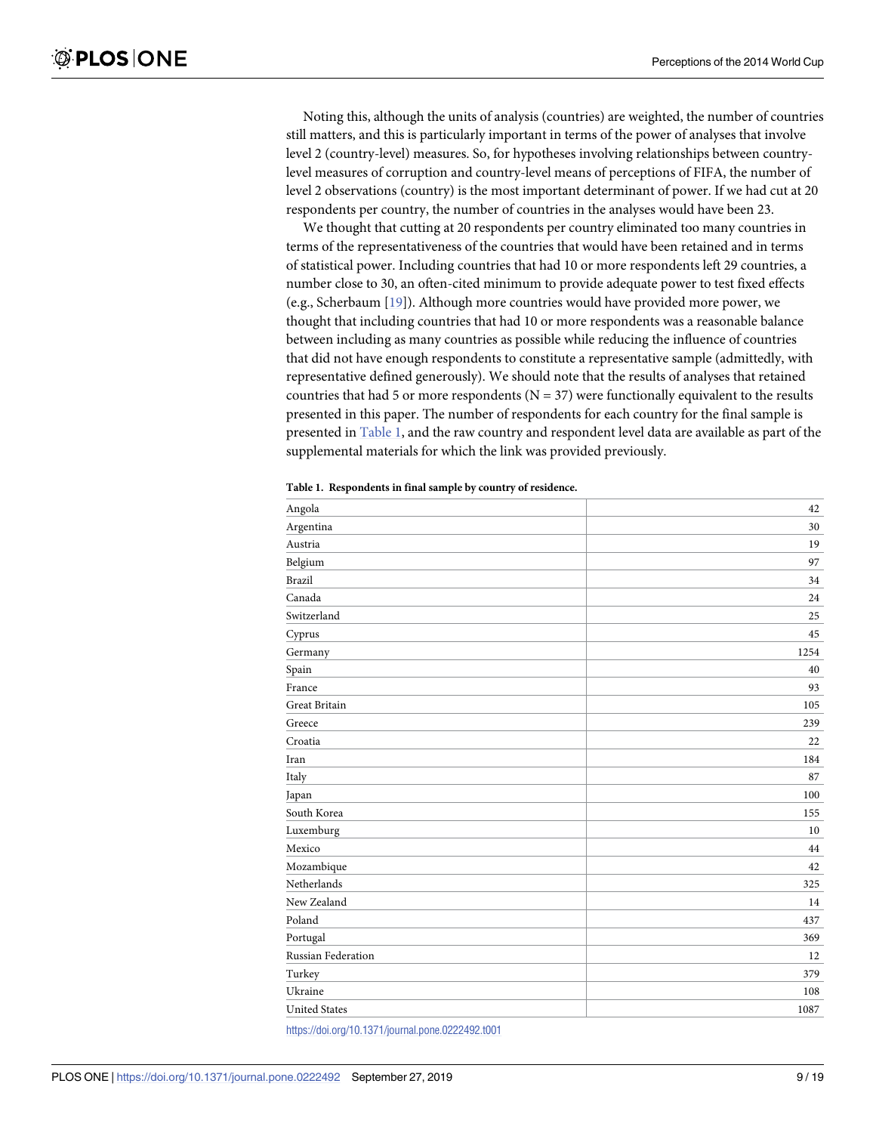<span id="page-8-0"></span>Noting this, although the units of analysis (countries) are weighted, the number of countries still matters, and this is particularly important in terms of the power of analyses that involve level 2 (country-level) measures. So, for hypotheses involving relationships between countrylevel measures of corruption and country-level means of perceptions of FIFA, the number of level 2 observations (country) is the most important determinant of power. If we had cut at 20 respondents per country, the number of countries in the analyses would have been 23.

We thought that cutting at 20 respondents per country eliminated too many countries in terms of the representativeness of the countries that would have been retained and in terms of statistical power. Including countries that had 10 or more respondents left 29 countries, a number close to 30, an often-cited minimum to provide adequate power to test fixed effects (e.g., Scherbaum [[19](#page-18-0)]). Although more countries would have provided more power, we thought that including countries that had 10 or more respondents was a reasonable balance between including as many countries as possible while reducing the influence of countries that did not have enough respondents to constitute a representative sample (admittedly, with representative defined generously). We should note that the results of analyses that retained countries that had 5 or more respondents ( $N = 37$ ) were functionally equivalent to the results presented in this paper. The number of respondents for each country for the final sample is presented in Table 1, and the raw country and respondent level data are available as part of the supplemental materials for which the link was provided previously.

| Angola               | 42   |
|----------------------|------|
| Argentina            | 30   |
| Austria              | 19   |
| Belgium              | 97   |
| <b>Brazil</b>        | 34   |
| Canada               | 24   |
| Switzerland          | 25   |
| Cyprus               | 45   |
| Germany              | 1254 |
| Spain                | 40   |
| France               | 93   |
| Great Britain        | 105  |
| Greece               | 239  |
| Croatia              | 22   |
| Iran                 | 184  |
| Italy                | 87   |
| Japan                | 100  |
| South Korea          | 155  |
| Luxemburg            | 10   |
| Mexico               | 44   |
| Mozambique           | 42   |
| Netherlands          | 325  |
| New Zealand          | 14   |
| Poland               | 437  |
| Portugal             | 369  |
| Russian Federation   | 12   |
| Turkey               | 379  |
| Ukraine              | 108  |
| <b>United States</b> | 1087 |

**Table 1. Respondents in final sample by country of residence.**

<https://doi.org/10.1371/journal.pone.0222492.t001>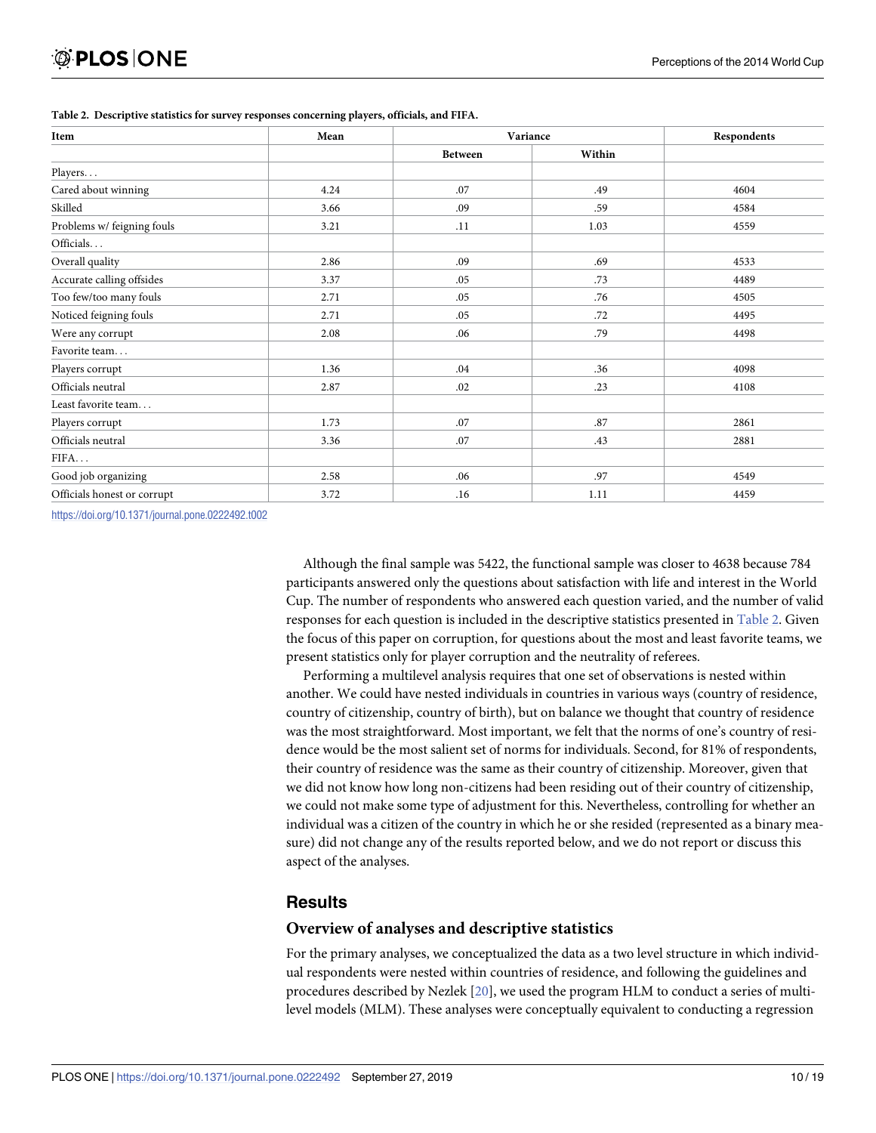| Item                        | Mean | Variance       |        | Respondents |
|-----------------------------|------|----------------|--------|-------------|
|                             |      | <b>Between</b> | Within |             |
| Players                     |      |                |        |             |
| Cared about winning         | 4.24 | .07            | .49    | 4604        |
| Skilled                     | 3.66 | .09            | .59    | 4584        |
| Problems w/ feigning fouls  | 3.21 | .11            | 1.03   | 4559        |
| Officials                   |      |                |        |             |
| Overall quality             | 2.86 | .09            | .69    | 4533        |
| Accurate calling offsides   | 3.37 | .05            | .73    | 4489        |
| Too few/too many fouls      | 2.71 | .05            | .76    | 4505        |
| Noticed feigning fouls      | 2.71 | .05            | .72    | 4495        |
| Were any corrupt            | 2.08 | .06            | .79    | 4498        |
| Favorite team               |      |                |        |             |
| Players corrupt             | 1.36 | .04            | .36    | 4098        |
| Officials neutral           | 2.87 | .02            | .23    | 4108        |
| Least favorite team         |      |                |        |             |
| Players corrupt             | 1.73 | .07            | .87    | 2861        |
| Officials neutral           | 3.36 | .07            | .43    | 2881        |
| FIFA                        |      |                |        |             |
| Good job organizing         | 2.58 | .06            | .97    | 4549        |
| Officials honest or corrupt | 3.72 | .16            | 1.11   | 4459        |

<span id="page-9-0"></span>**Table 2. Descriptive statistics for survey responses concerning players, officials, and FIFA.**

<https://doi.org/10.1371/journal.pone.0222492.t002>

Although the final sample was 5422, the functional sample was closer to 4638 because 784 participants answered only the questions about satisfaction with life and interest in the World Cup. The number of respondents who answered each question varied, and the number of valid responses for each question is included in the descriptive statistics presented in Table 2. Given the focus of this paper on corruption, for questions about the most and least favorite teams, we present statistics only for player corruption and the neutrality of referees.

Performing a multilevel analysis requires that one set of observations is nested within another. We could have nested individuals in countries in various ways (country of residence, country of citizenship, country of birth), but on balance we thought that country of residence was the most straightforward. Most important, we felt that the norms of one's country of residence would be the most salient set of norms for individuals. Second, for 81% of respondents, their country of residence was the same as their country of citizenship. Moreover, given that we did not know how long non-citizens had been residing out of their country of citizenship, we could not make some type of adjustment for this. Nevertheless, controlling for whether an individual was a citizen of the country in which he or she resided (represented as a binary measure) did not change any of the results reported below, and we do not report or discuss this aspect of the analyses.

# **Results**

# **Overview of analyses and descriptive statistics**

For the primary analyses, we conceptualized the data as a two level structure in which individual respondents were nested within countries of residence, and following the guidelines and procedures described by Nezlek [\[20\]](#page-18-0), we used the program HLM to conduct a series of multilevel models (MLM). These analyses were conceptually equivalent to conducting a regression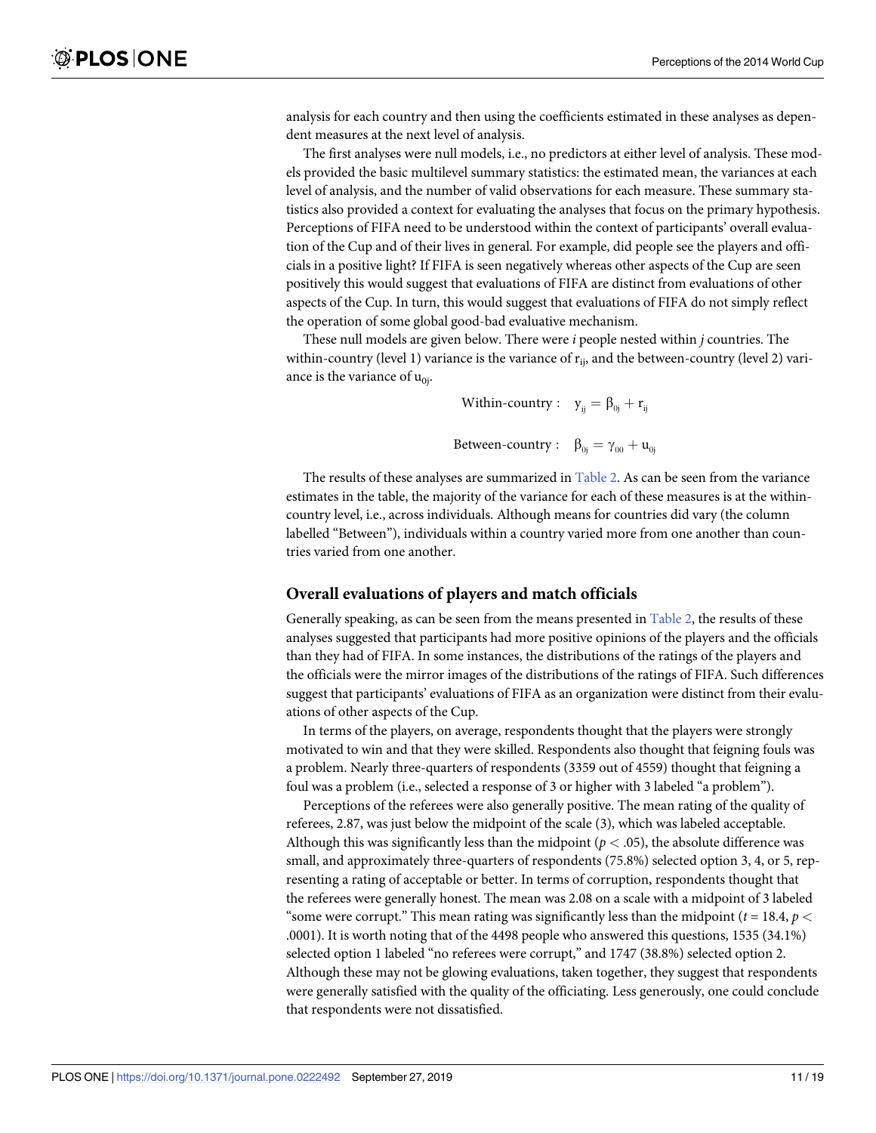analysis for each country and then using the coefficients estimated in these analyses as dependent measures at the next level of analysis.

The first analyses were null models, i.e., no predictors at either level of analysis. These models provided the basic multilevel summary statistics: the estimated mean, the variances at each level of analysis, and the number of valid observations for each measure. These summary statistics also provided a context for evaluating the analyses that focus on the primary hypothesis. Perceptions of FIFA need to be understood within the context of participants' overall evaluation of the Cup and of their lives in general. For example, did people see the players and officials in a positive light? If FIFA is seen negatively whereas other aspects of the Cup are seen positively this would suggest that evaluations of FIFA are distinct from evaluations of other aspects of the Cup. In turn, this would suggest that evaluations of FIFA do not simply reflect the operation of some global good-bad evaluative mechanism.

These null models are given below. There were *i* people nested within *j* countries. The within-country (level 1) variance is the variance of  $r_{ii}$ , and the between-country (level 2) variance is the variance of  $u_{0i}$ .

Within-country :  $y_{ii} = \beta_{0i} + r_{ii}$ 

Between-country :  $\beta_{0i} = \gamma_{00} + u_{0i}$ 

The results of these analyses are summarized in [Table](#page-9-0) 2. As can be seen from the variance estimates in the table, the majority of the variance for each of these measures is at the withincountry level, i.e., across individuals. Although means for countries did vary (the column labelled "Between"), individuals within a country varied more from one another than countries varied from one another.

#### **Overall evaluations of players and match officials**

Generally speaking, as can be seen from the means presented in [Table](#page-9-0) 2, the results of these analyses suggested that participants had more positive opinions of the players and the officials than they had of FIFA. In some instances, the distributions of the ratings of the players and the officials were the mirror images of the distributions of the ratings of FIFA. Such differences suggest that participants' evaluations of FIFA as an organization were distinct from their evaluations of other aspects of the Cup.

In terms of the players, on average, respondents thought that the players were strongly motivated to win and that they were skilled. Respondents also thought that feigning fouls was a problem. Nearly three-quarters of respondents (3359 out of 4559) thought that feigning a foul was a problem (i.e., selected a response of 3 or higher with 3 labeled "a problem").

Perceptions of the referees were also generally positive. The mean rating of the quality of referees, 2.87, was just below the midpoint of the scale (3), which was labeled acceptable. Although this was significantly less than the midpoint ( $p < .05$ ), the absolute difference was small, and approximately three-quarters of respondents (75.8%) selected option 3, 4, or 5, representing a rating of acceptable or better. In terms of corruption, respondents thought that the referees were generally honest. The mean was 2.08 on a scale with a midpoint of 3 labeled "some were corrupt." This mean rating was significantly less than the midpoint  $(t = 18.4, p <$ .0001). It is worth noting that of the 4498 people who answered this questions, 1535 (34.1%) selected option 1 labeled "no referees were corrupt," and 1747 (38.8%) selected option 2. Although these may not be glowing evaluations, taken together, they suggest that respondents were generally satisfied with the quality of the officiating. Less generously, one could conclude that respondents were not dissatisfied.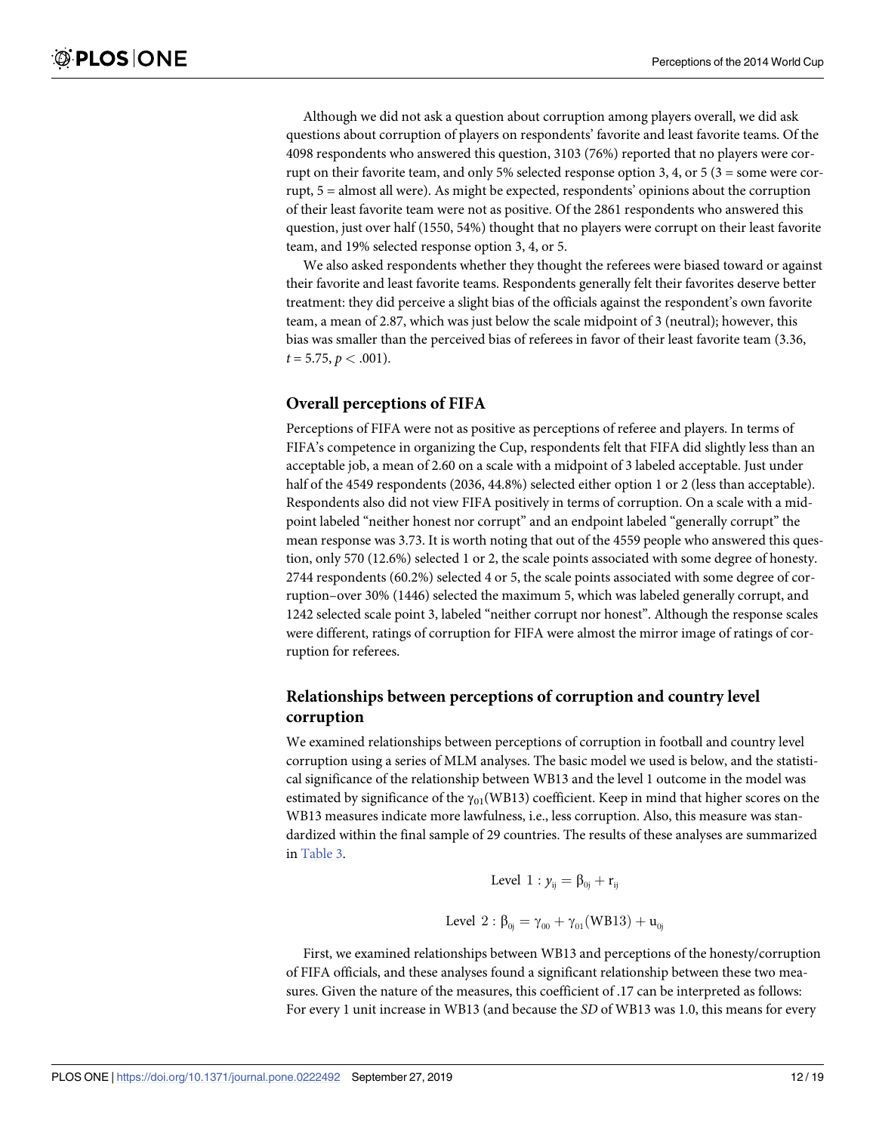<span id="page-11-0"></span>Although we did not ask a question about corruption among players overall, we did ask questions about corruption of players on respondents' favorite and least favorite teams. Of the 4098 respondents who answered this question, 3103 (76%) reported that no players were corrupt on their favorite team, and only 5% selected response option 3, 4, or 5 ( $3 =$  some were corrupt, 5 = almost all were). As might be expected, respondents' opinions about the corruption of their least favorite team were not as positive. Of the 2861 respondents who answered this question, just over half (1550, 54%) thought that no players were corrupt on their least favorite team, and 19% selected response option 3, 4, or 5.

We also asked respondents whether they thought the referees were biased toward or against their favorite and least favorite teams. Respondents generally felt their favorites deserve better treatment: they did perceive a slight bias of the officials against the respondent's own favorite team, a mean of 2.87, which was just below the scale midpoint of 3 (neutral); however, this bias was smaller than the perceived bias of referees in favor of their least favorite team (3.36,  $t = 5.75, p < .001$ ).

## **Overall perceptions of FIFA**

Perceptions of FIFA were not as positive as perceptions of referee and players. In terms of FIFA's competence in organizing the Cup, respondents felt that FIFA did slightly less than an acceptable job, a mean of 2.60 on a scale with a midpoint of 3 labeled acceptable. Just under half of the 4549 respondents (2036, 44.8%) selected either option 1 or 2 (less than acceptable). Respondents also did not view FIFA positively in terms of corruption. On a scale with a midpoint labeled "neither honest nor corrupt" and an endpoint labeled "generally corrupt" the mean response was 3.73. It is worth noting that out of the 4559 people who answered this question, only 570 (12.6%) selected 1 or 2, the scale points associated with some degree of honesty. 2744 respondents (60.2%) selected 4 or 5, the scale points associated with some degree of corruption–over 30% (1446) selected the maximum 5, which was labeled generally corrupt, and 1242 selected scale point 3, labeled "neither corrupt nor honest". Although the response scales were different, ratings of corruption for FIFA were almost the mirror image of ratings of corruption for referees.

# **Relationships between perceptions of corruption and country level corruption**

We examined relationships between perceptions of corruption in football and country level corruption using a series of MLM analyses. The basic model we used is below, and the statistical significance of the relationship between WB13 and the level 1 outcome in the model was estimated by significance of the  $\gamma_{01}$ (WB13) coefficient. Keep in mind that higher scores on the WB13 measures indicate more lawfulness, i.e., less corruption. Also, this measure was standardized within the final sample of 29 countries. The results of these analyses are summarized in [Table](#page-12-0) 3.

Level 1 : 
$$
y_{ij} = \beta_{0j} + r_{ij}
$$

Level 2 : 
$$
\beta_{0j} = \gamma_{00} + \gamma_{01} (WB13) + u_{0j}
$$

First, we examined relationships between WB13 and perceptions of the honesty/corruption of FIFA officials, and these analyses found a significant relationship between these two measures. Given the nature of the measures, this coefficient of .17 can be interpreted as follows: For every 1 unit increase in WB13 (and because the *SD* of WB13 was 1.0, this means for every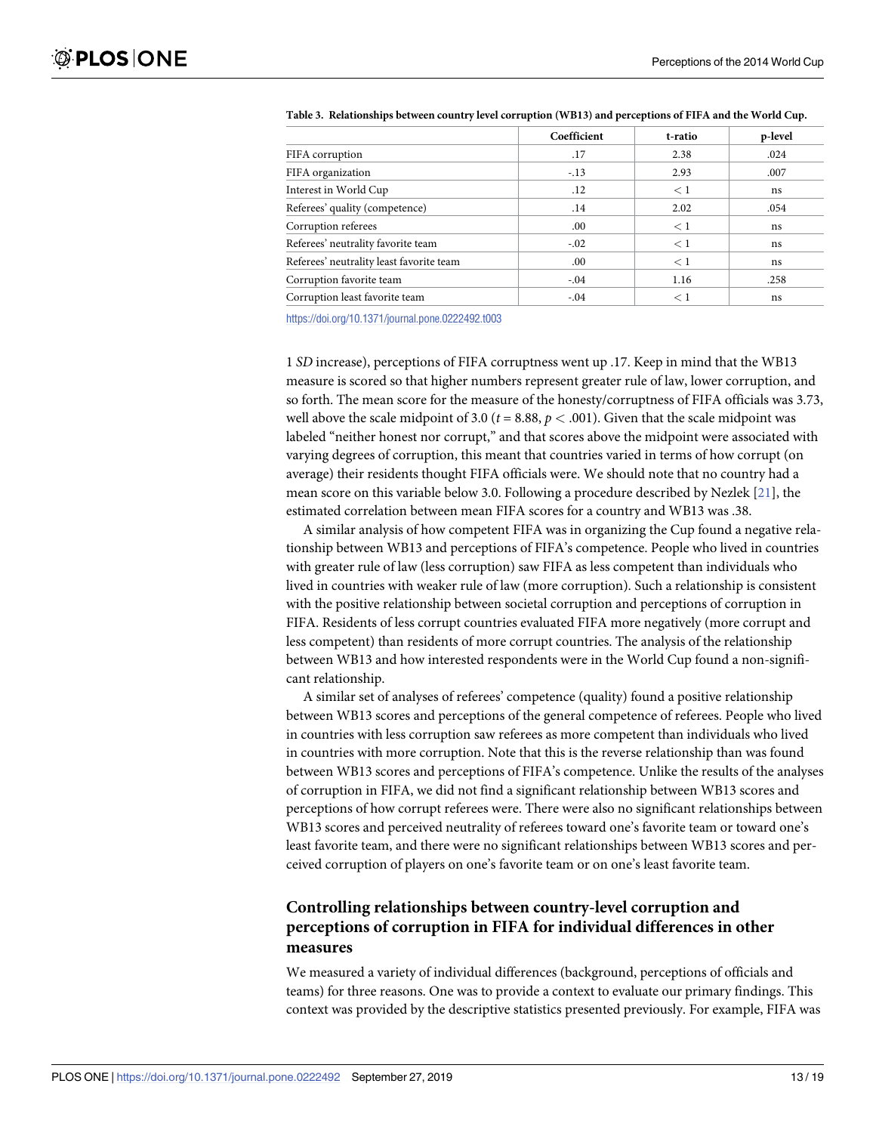|                                          | Coefficient | t-ratio  | p-level |
|------------------------------------------|-------------|----------|---------|
| FIFA corruption                          | .17         | 2.38     | .024    |
| FIFA organization                        | $-.13$      | 2.93     | .007    |
| Interest in World Cup                    | .12         | $\leq 1$ | ns      |
| Referees' quality (competence)           | .14         | 2.02     | .054    |
| Corruption referees                      | .00         | $\leq 1$ | ns      |
| Referees' neutrality favorite team       | $-.02$      | $\leq 1$ | ns      |
| Referees' neutrality least favorite team | .00         | $\leq 1$ | ns      |
| Corruption favorite team                 | $-.04$      | 1.16     | .258    |
| Corruption least favorite team           | $-.04$      | $\leq 1$ | ns      |

<span id="page-12-0"></span>**[Table](#page-11-0) 3. Relationships between country level corruption (WB13) and perceptions of FIFA and the World Cup.**

<https://doi.org/10.1371/journal.pone.0222492.t003>

1 *SD* increase), perceptions of FIFA corruptness went up .17. Keep in mind that the WB13 measure is scored so that higher numbers represent greater rule of law, lower corruption, and so forth. The mean score for the measure of the honesty/corruptness of FIFA officials was 3.73, well above the scale midpoint of 3.0 ( $t = 8.88$ ,  $p < .001$ ). Given that the scale midpoint was labeled "neither honest nor corrupt," and that scores above the midpoint were associated with varying degrees of corruption, this meant that countries varied in terms of how corrupt (on average) their residents thought FIFA officials were. We should note that no country had a mean score on this variable below 3.0. Following a procedure described by Nezlek [[21](#page-18-0)], the estimated correlation between mean FIFA scores for a country and WB13 was .38.

A similar analysis of how competent FIFA was in organizing the Cup found a negative relationship between WB13 and perceptions of FIFA's competence. People who lived in countries with greater rule of law (less corruption) saw FIFA as less competent than individuals who lived in countries with weaker rule of law (more corruption). Such a relationship is consistent with the positive relationship between societal corruption and perceptions of corruption in FIFA. Residents of less corrupt countries evaluated FIFA more negatively (more corrupt and less competent) than residents of more corrupt countries. The analysis of the relationship between WB13 and how interested respondents were in the World Cup found a non-significant relationship.

A similar set of analyses of referees' competence (quality) found a positive relationship between WB13 scores and perceptions of the general competence of referees. People who lived in countries with less corruption saw referees as more competent than individuals who lived in countries with more corruption. Note that this is the reverse relationship than was found between WB13 scores and perceptions of FIFA's competence. Unlike the results of the analyses of corruption in FIFA, we did not find a significant relationship between WB13 scores and perceptions of how corrupt referees were. There were also no significant relationships between WB13 scores and perceived neutrality of referees toward one's favorite team or toward one's least favorite team, and there were no significant relationships between WB13 scores and perceived corruption of players on one's favorite team or on one's least favorite team.

# **Controlling relationships between country-level corruption and perceptions of corruption in FIFA for individual differences in other measures**

We measured a variety of individual differences (background, perceptions of officials and teams) for three reasons. One was to provide a context to evaluate our primary findings. This context was provided by the descriptive statistics presented previously. For example, FIFA was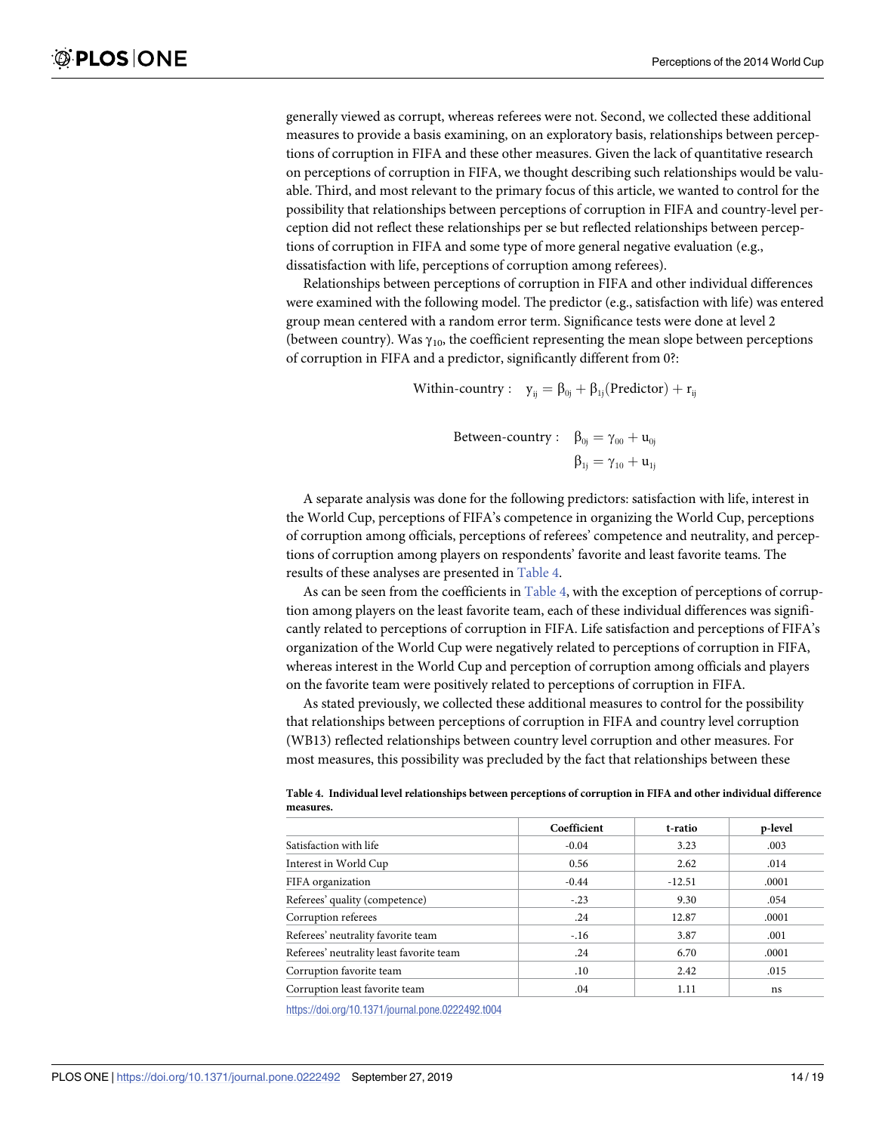generally viewed as corrupt, whereas referees were not. Second, we collected these additional measures to provide a basis examining, on an exploratory basis, relationships between perceptions of corruption in FIFA and these other measures. Given the lack of quantitative research on perceptions of corruption in FIFA, we thought describing such relationships would be valuable. Third, and most relevant to the primary focus of this article, we wanted to control for the possibility that relationships between perceptions of corruption in FIFA and country-level perception did not reflect these relationships per se but reflected relationships between perceptions of corruption in FIFA and some type of more general negative evaluation (e.g., dissatisfaction with life, perceptions of corruption among referees).

Relationships between perceptions of corruption in FIFA and other individual differences were examined with the following model. The predictor (e.g., satisfaction with life) was entered group mean centered with a random error term. Significance tests were done at level 2 (between country). Was  $\gamma_{10}$ , the coefficient representing the mean slope between perceptions of corruption in FIFA and a predictor, significantly different from 0?:

Within-country :  $y_{ij} = \beta_{0j} + \beta_{1j}$ (Predictor) +  $r_{ij}$ 

Between-country :  $\beta_{0j} = \gamma_{00} + u_{0j}$  $\beta_{1i} = \gamma_{10} + u_{1i}$ 

A separate analysis was done for the following predictors: satisfaction with life, interest in the World Cup, perceptions of FIFA's competence in organizing the World Cup, perceptions of corruption among officials, perceptions of referees' competence and neutrality, and perceptions of corruption among players on respondents' favorite and least favorite teams. The results of these analyses are presented in Table 4.

As can be seen from the coefficients in Table 4, with the exception of perceptions of corruption among players on the least favorite team, each of these individual differences was significantly related to perceptions of corruption in FIFA. Life satisfaction and perceptions of FIFA's organization of the World Cup were negatively related to perceptions of corruption in FIFA, whereas interest in the World Cup and perception of corruption among officials and players on the favorite team were positively related to perceptions of corruption in FIFA.

As stated previously, we collected these additional measures to control for the possibility that relationships between perceptions of corruption in FIFA and country level corruption (WB13) reflected relationships between country level corruption and other measures. For most measures, this possibility was precluded by the fact that relationships between these

|           | Table 4. Individual level relationships between perceptions of corruption in FIFA and other individual difference |  |
|-----------|-------------------------------------------------------------------------------------------------------------------|--|
| measures. |                                                                                                                   |  |

|                                          | Coefficient | t-ratio  | p-level |
|------------------------------------------|-------------|----------|---------|
| Satisfaction with life                   | $-0.04$     | 3.23     | .003    |
| Interest in World Cup                    | 0.56        | 2.62     | .014    |
| FIFA organization                        | $-0.44$     | $-12.51$ | .0001   |
| Referees' quality (competence)           | $-.23$      | 9.30     | .054    |
| Corruption referees                      | .24         | 12.87    | .0001   |
| Referees' neutrality favorite team       | $-.16$      | 3.87     | .001    |
| Referees' neutrality least favorite team | .24         | 6.70     | .0001   |
| Corruption favorite team                 | .10         | 2.42     | .015    |
| Corruption least favorite team           | .04         | 1.11     | ns      |

<https://doi.org/10.1371/journal.pone.0222492.t004>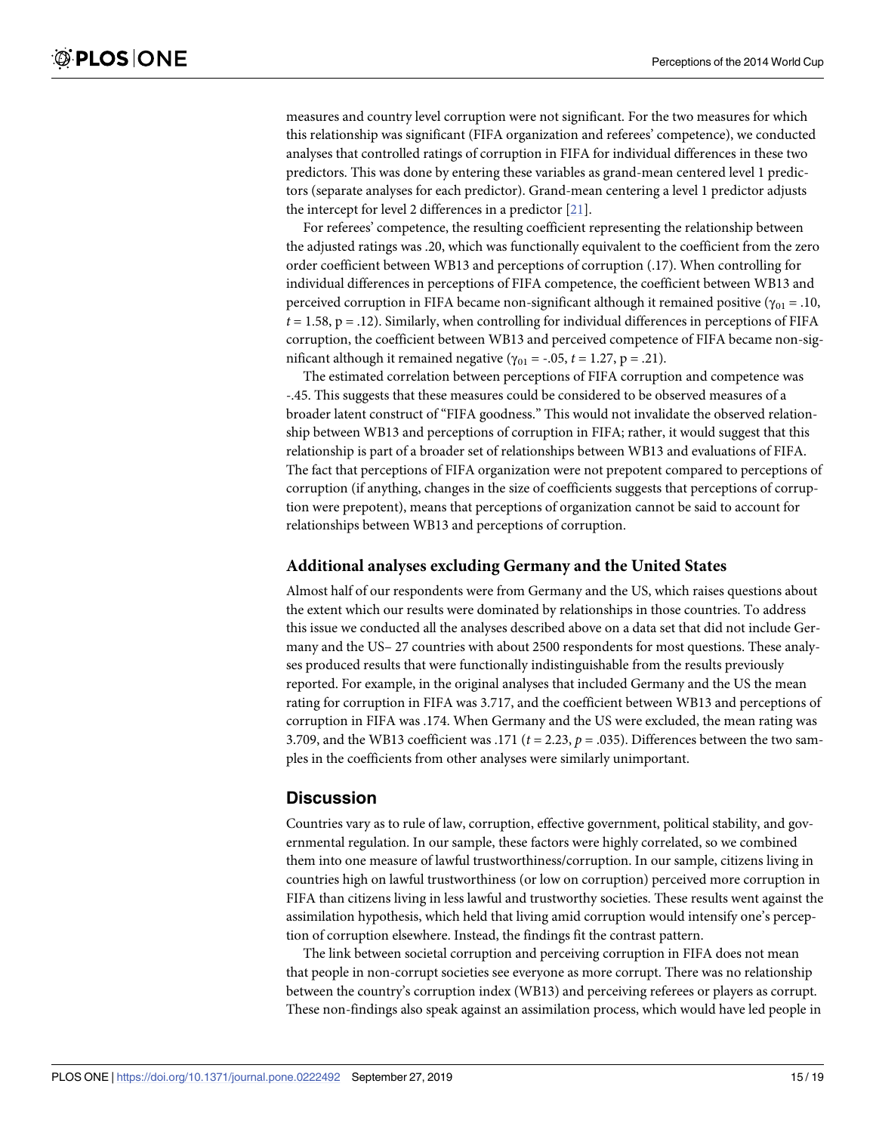measures and country level corruption were not significant. For the two measures for which this relationship was significant (FIFA organization and referees' competence), we conducted analyses that controlled ratings of corruption in FIFA for individual differences in these two predictors. This was done by entering these variables as grand-mean centered level 1 predictors (separate analyses for each predictor). Grand-mean centering a level 1 predictor adjusts the intercept for level 2 differences in a predictor [[21](#page-18-0)].

For referees' competence, the resulting coefficient representing the relationship between the adjusted ratings was .20, which was functionally equivalent to the coefficient from the zero order coefficient between WB13 and perceptions of corruption (.17). When controlling for individual differences in perceptions of FIFA competence, the coefficient between WB13 and perceived corruption in FIFA became non-significant although it remained positive ( $\gamma_{01} = .10$ ,  $t = 1.58$ ,  $p = .12$ ). Similarly, when controlling for individual differences in perceptions of FIFA corruption, the coefficient between WB13 and perceived competence of FIFA became non-significant although it remained negative ( $γ_{01} = -.05$ ,  $t = 1.27$ ,  $p = .21$ ).

The estimated correlation between perceptions of FIFA corruption and competence was -.45. This suggests that these measures could be considered to be observed measures of a broader latent construct of "FIFA goodness." This would not invalidate the observed relationship between WB13 and perceptions of corruption in FIFA; rather, it would suggest that this relationship is part of a broader set of relationships between WB13 and evaluations of FIFA. The fact that perceptions of FIFA organization were not prepotent compared to perceptions of corruption (if anything, changes in the size of coefficients suggests that perceptions of corruption were prepotent), means that perceptions of organization cannot be said to account for relationships between WB13 and perceptions of corruption.

#### **Additional analyses excluding Germany and the United States**

Almost half of our respondents were from Germany and the US, which raises questions about the extent which our results were dominated by relationships in those countries. To address this issue we conducted all the analyses described above on a data set that did not include Germany and the US– 27 countries with about 2500 respondents for most questions. These analyses produced results that were functionally indistinguishable from the results previously reported. For example, in the original analyses that included Germany and the US the mean rating for corruption in FIFA was 3.717, and the coefficient between WB13 and perceptions of corruption in FIFA was .174. When Germany and the US were excluded, the mean rating was 3.709, and the WB13 coefficient was .171 ( $t = 2.23$ ,  $p = .035$ ). Differences between the two samples in the coefficients from other analyses were similarly unimportant.

# **Discussion**

Countries vary as to rule of law, corruption, effective government, political stability, and governmental regulation. In our sample, these factors were highly correlated, so we combined them into one measure of lawful trustworthiness/corruption. In our sample, citizens living in countries high on lawful trustworthiness (or low on corruption) perceived more corruption in FIFA than citizens living in less lawful and trustworthy societies. These results went against the assimilation hypothesis, which held that living amid corruption would intensify one's perception of corruption elsewhere. Instead, the findings fit the contrast pattern.

The link between societal corruption and perceiving corruption in FIFA does not mean that people in non-corrupt societies see everyone as more corrupt. There was no relationship between the country's corruption index (WB13) and perceiving referees or players as corrupt. These non-findings also speak against an assimilation process, which would have led people in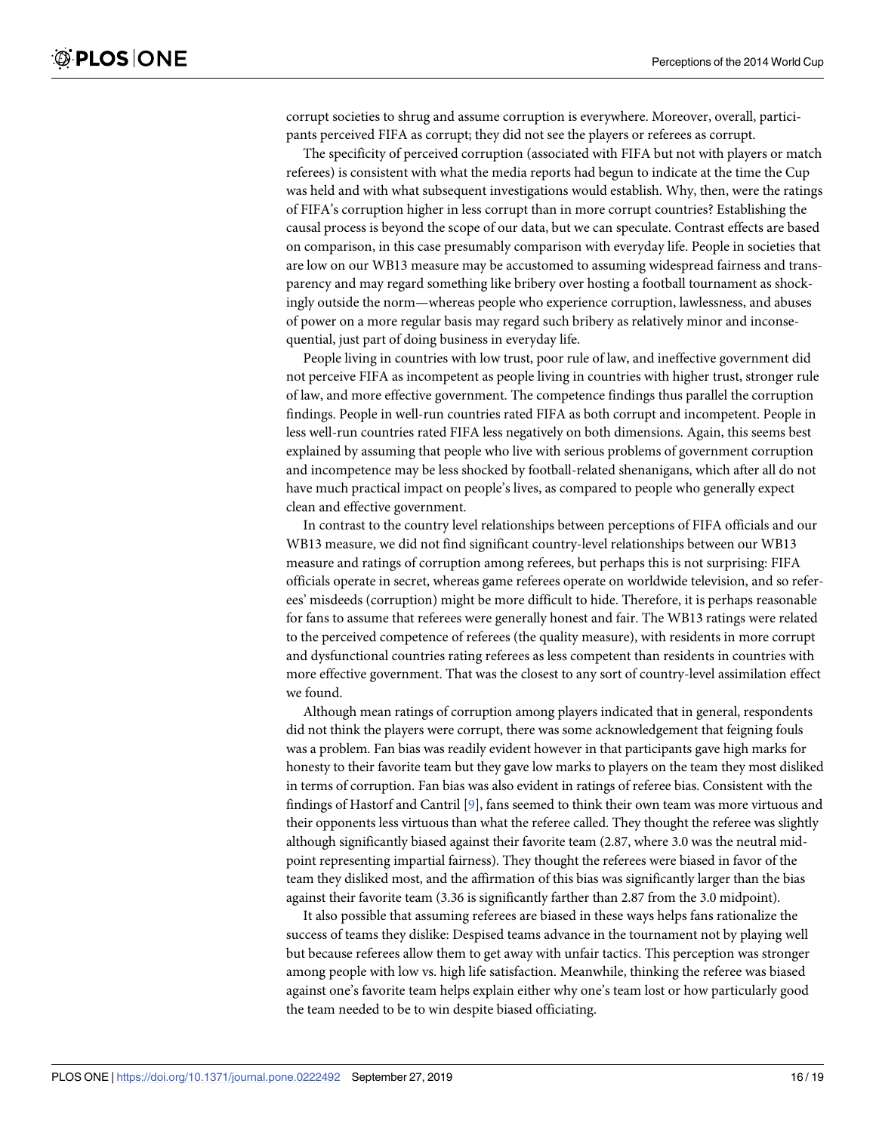corrupt societies to shrug and assume corruption is everywhere. Moreover, overall, participants perceived FIFA as corrupt; they did not see the players or referees as corrupt.

The specificity of perceived corruption (associated with FIFA but not with players or match referees) is consistent with what the media reports had begun to indicate at the time the Cup was held and with what subsequent investigations would establish. Why, then, were the ratings of FIFA's corruption higher in less corrupt than in more corrupt countries? Establishing the causal process is beyond the scope of our data, but we can speculate. Contrast effects are based on comparison, in this case presumably comparison with everyday life. People in societies that are low on our WB13 measure may be accustomed to assuming widespread fairness and transparency and may regard something like bribery over hosting a football tournament as shockingly outside the norm—whereas people who experience corruption, lawlessness, and abuses of power on a more regular basis may regard such bribery as relatively minor and inconsequential, just part of doing business in everyday life.

People living in countries with low trust, poor rule of law, and ineffective government did not perceive FIFA as incompetent as people living in countries with higher trust, stronger rule of law, and more effective government. The competence findings thus parallel the corruption findings. People in well-run countries rated FIFA as both corrupt and incompetent. People in less well-run countries rated FIFA less negatively on both dimensions. Again, this seems best explained by assuming that people who live with serious problems of government corruption and incompetence may be less shocked by football-related shenanigans, which after all do not have much practical impact on people's lives, as compared to people who generally expect clean and effective government.

In contrast to the country level relationships between perceptions of FIFA officials and our WB13 measure, we did not find significant country-level relationships between our WB13 measure and ratings of corruption among referees, but perhaps this is not surprising: FIFA officials operate in secret, whereas game referees operate on worldwide television, and so referees' misdeeds (corruption) might be more difficult to hide. Therefore, it is perhaps reasonable for fans to assume that referees were generally honest and fair. The WB13 ratings were related to the perceived competence of referees (the quality measure), with residents in more corrupt and dysfunctional countries rating referees as less competent than residents in countries with more effective government. That was the closest to any sort of country-level assimilation effect we found.

Although mean ratings of corruption among players indicated that in general, respondents did not think the players were corrupt, there was some acknowledgement that feigning fouls was a problem. Fan bias was readily evident however in that participants gave high marks for honesty to their favorite team but they gave low marks to players on the team they most disliked in terms of corruption. Fan bias was also evident in ratings of referee bias. Consistent with the findings of Hastorf and Cantril [\[9](#page-17-0)], fans seemed to think their own team was more virtuous and their opponents less virtuous than what the referee called. They thought the referee was slightly although significantly biased against their favorite team (2.87, where 3.0 was the neutral midpoint representing impartial fairness). They thought the referees were biased in favor of the team they disliked most, and the affirmation of this bias was significantly larger than the bias against their favorite team (3.36 is significantly farther than 2.87 from the 3.0 midpoint).

It also possible that assuming referees are biased in these ways helps fans rationalize the success of teams they dislike: Despised teams advance in the tournament not by playing well but because referees allow them to get away with unfair tactics. This perception was stronger among people with low vs. high life satisfaction. Meanwhile, thinking the referee was biased against one's favorite team helps explain either why one's team lost or how particularly good the team needed to be to win despite biased officiating.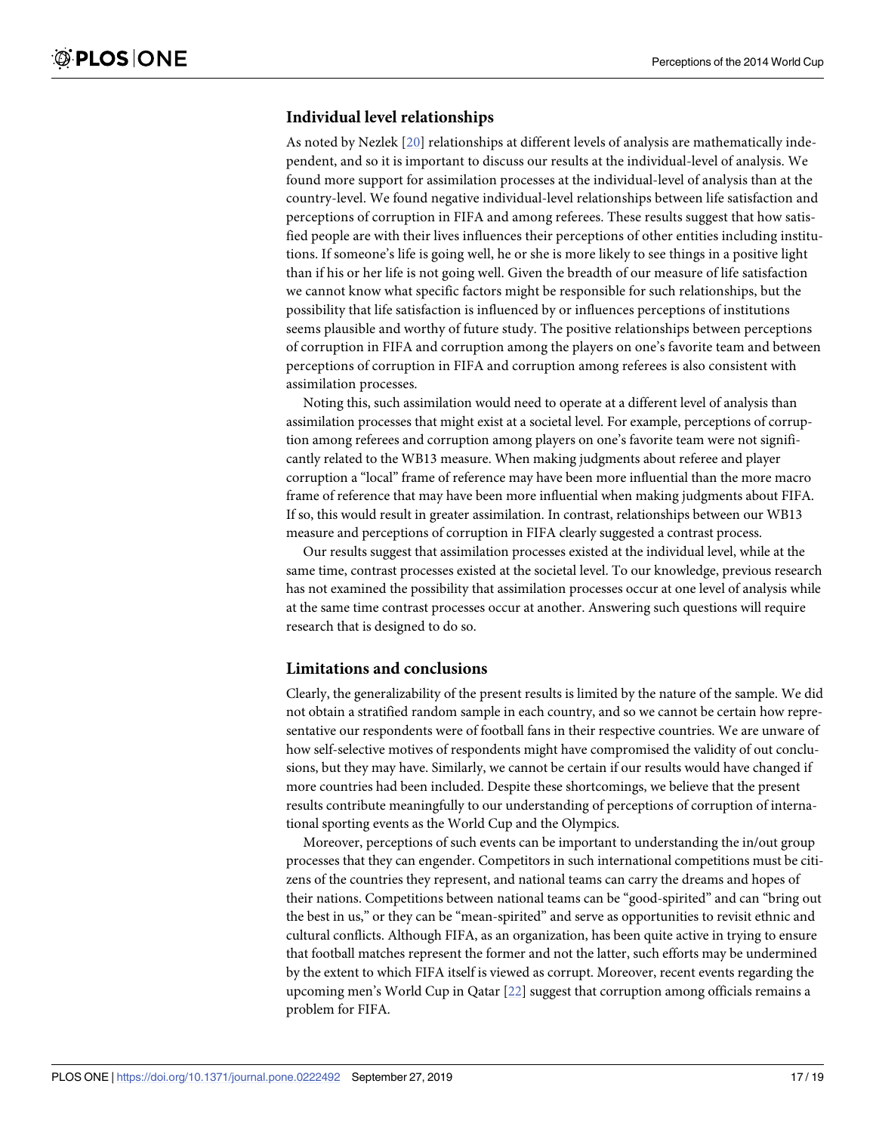## <span id="page-16-0"></span>**Individual level relationships**

As noted by Nezlek [\[20\]](#page-18-0) relationships at different levels of analysis are mathematically independent, and so it is important to discuss our results at the individual-level of analysis. We found more support for assimilation processes at the individual-level of analysis than at the country-level. We found negative individual-level relationships between life satisfaction and perceptions of corruption in FIFA and among referees. These results suggest that how satisfied people are with their lives influences their perceptions of other entities including institutions. If someone's life is going well, he or she is more likely to see things in a positive light than if his or her life is not going well. Given the breadth of our measure of life satisfaction we cannot know what specific factors might be responsible for such relationships, but the possibility that life satisfaction is influenced by or influences perceptions of institutions seems plausible and worthy of future study. The positive relationships between perceptions of corruption in FIFA and corruption among the players on one's favorite team and between perceptions of corruption in FIFA and corruption among referees is also consistent with assimilation processes.

Noting this, such assimilation would need to operate at a different level of analysis than assimilation processes that might exist at a societal level. For example, perceptions of corruption among referees and corruption among players on one's favorite team were not significantly related to the WB13 measure. When making judgments about referee and player corruption a "local" frame of reference may have been more influential than the more macro frame of reference that may have been more influential when making judgments about FIFA. If so, this would result in greater assimilation. In contrast, relationships between our WB13 measure and perceptions of corruption in FIFA clearly suggested a contrast process.

Our results suggest that assimilation processes existed at the individual level, while at the same time, contrast processes existed at the societal level. To our knowledge, previous research has not examined the possibility that assimilation processes occur at one level of analysis while at the same time contrast processes occur at another. Answering such questions will require research that is designed to do so.

## **Limitations and conclusions**

Clearly, the generalizability of the present results is limited by the nature of the sample. We did not obtain a stratified random sample in each country, and so we cannot be certain how representative our respondents were of football fans in their respective countries. We are unware of how self-selective motives of respondents might have compromised the validity of out conclusions, but they may have. Similarly, we cannot be certain if our results would have changed if more countries had been included. Despite these shortcomings, we believe that the present results contribute meaningfully to our understanding of perceptions of corruption of international sporting events as the World Cup and the Olympics.

Moreover, perceptions of such events can be important to understanding the in/out group processes that they can engender. Competitors in such international competitions must be citizens of the countries they represent, and national teams can carry the dreams and hopes of their nations. Competitions between national teams can be "good-spirited" and can "bring out the best in us," or they can be "mean-spirited" and serve as opportunities to revisit ethnic and cultural conflicts. Although FIFA, as an organization, has been quite active in trying to ensure that football matches represent the former and not the latter, such efforts may be undermined by the extent to which FIFA itself is viewed as corrupt. Moreover, recent events regarding the upcoming men's World Cup in Qatar [\[22\]](#page-18-0) suggest that corruption among officials remains a problem for FIFA.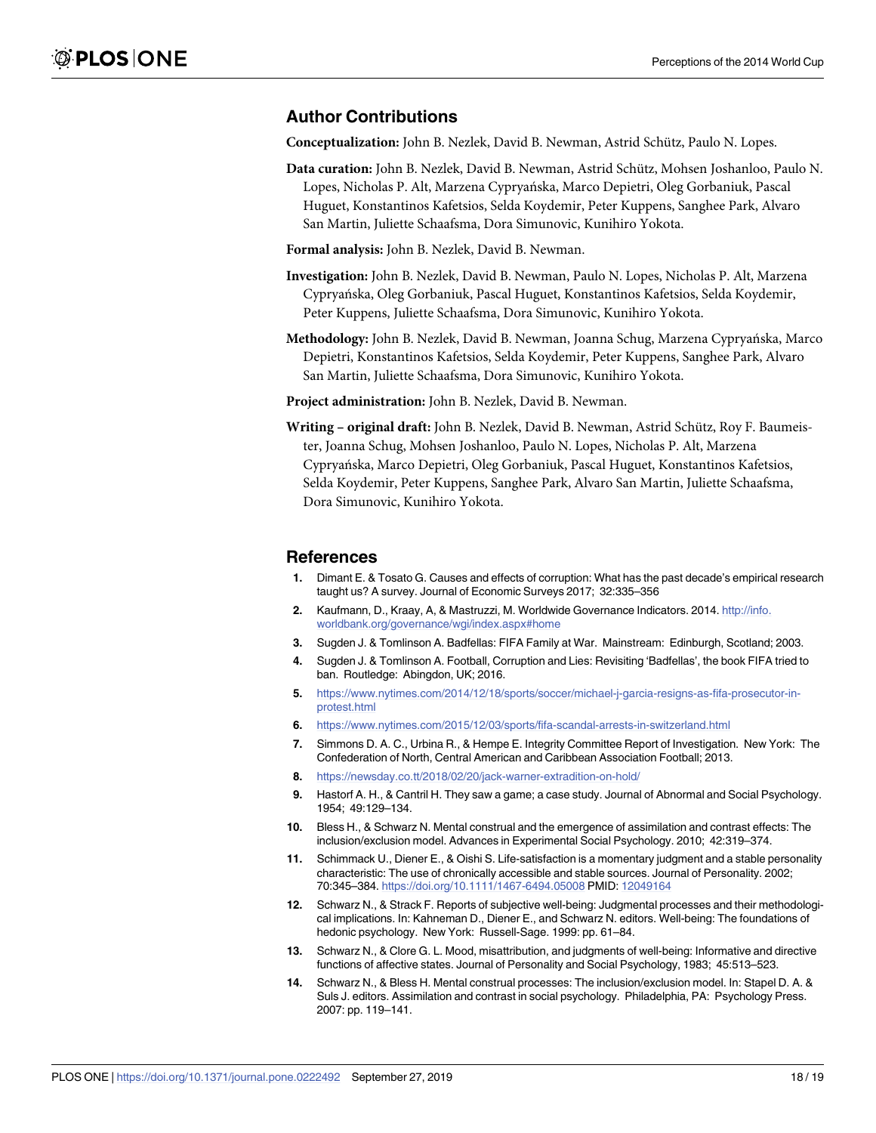# <span id="page-17-0"></span>**Author Contributions**

**Conceptualization:** John B. Nezlek, David B. Newman, Astrid Schütz, Paulo N. Lopes.

- **Data curation:** John B. Nezlek, David B. Newman, Astrid Schütz, Mohsen Joshanloo, Paulo N. Lopes, Nicholas P. Alt, Marzena Cypryańska, Marco Depietri, Oleg Gorbaniuk, Pascal Huguet, Konstantinos Kafetsios, Selda Koydemir, Peter Kuppens, Sanghee Park, Alvaro San Martin, Juliette Schaafsma, Dora Simunovic, Kunihiro Yokota.
- **Formal analysis:** John B. Nezlek, David B. Newman.
- **Investigation:** John B. Nezlek, David B. Newman, Paulo N. Lopes, Nicholas P. Alt, Marzena Cypryańska, Oleg Gorbaniuk, Pascal Huguet, Konstantinos Kafetsios, Selda Koydemir, Peter Kuppens, Juliette Schaafsma, Dora Simunovic, Kunihiro Yokota.
- **Methodology:** John B. Nezlek, David B. Newman, Joanna Schug, Marzena Cypryańska, Marco Depietri, Konstantinos Kafetsios, Selda Koydemir, Peter Kuppens, Sanghee Park, Alvaro San Martin, Juliette Schaafsma, Dora Simunovic, Kunihiro Yokota.
- **Project administration:** John B. Nezlek, David B. Newman.
- **Writing original draft:** John B. Nezlek, David B. Newman, Astrid Schütz, Roy F. Baumeister, Joanna Schug, Mohsen Joshanloo, Paulo N. Lopes, Nicholas P. Alt, Marzena Cypryańska, Marco Depietri, Oleg Gorbaniuk, Pascal Huguet, Konstantinos Kafetsios, Selda Koydemir, Peter Kuppens, Sanghee Park, Alvaro San Martin, Juliette Schaafsma, Dora Simunovic, Kunihiro Yokota.

## **References**

- **[1](#page-1-0).** Dimant E. & Tosato G. Causes and effects of corruption: What has the past decade's empirical research taught us? A survey. Journal of Economic Surveys 2017; 32:335–356
- **[2](#page-1-0).** Kaufmann, D., Kraay, A, & Mastruzzi, M. Worldwide Governance Indicators. 2014. [http://info.](http://info.worldbank.org/governance/wgi/index.aspx#home) [worldbank.org/governance/wgi/index.aspx#home](http://info.worldbank.org/governance/wgi/index.aspx#home)
- **[3](#page-1-0).** Sugden J. & Tomlinson A. Badfellas: FIFA Family at War. Mainstream: Edinburgh, Scotland; 2003.
- **[4](#page-1-0).** Sugden J. & Tomlinson A. Football, Corruption and Lies: Revisiting 'Badfellas', the book FIFA tried to ban. Routledge: Abingdon, UK; 2016.
- **[5](#page-1-0).** [https://www.nytimes.com/2014/12/18/sports/soccer/michael-j-garcia-resigns-as-fifa-prosecutor-in](https://www.nytimes.com/2014/12/18/sports/soccer/michael-j-garcia-resigns-as-fifa-prosecutor-in-protest.html)[protest.html](https://www.nytimes.com/2014/12/18/sports/soccer/michael-j-garcia-resigns-as-fifa-prosecutor-in-protest.html)
- **[6](#page-1-0).** <https://www.nytimes.com/2015/12/03/sports/fifa-scandal-arrests-in-switzerland.html>
- **[7](#page-1-0).** Simmons D. A. C., Urbina R., & Hempe E. Integrity Committee Report of Investigation. New York: The Confederation of North, Central American and Caribbean Association Football; 2013.
- **[8](#page-2-0).** <https://newsday.co.tt/2018/02/20/jack-warner-extradition-on-hold/>
- **[9](#page-2-0).** Hastorf A. H., & Cantril H. They saw a game; a case study. Journal of Abnormal and Social Psychology. 1954; 49:129–134.
- **[10](#page-2-0).** Bless H., & Schwarz N. Mental construal and the emergence of assimilation and contrast effects: The inclusion/exclusion model. Advances in Experimental Social Psychology. 2010; 42:319–374.
- **[11](#page-2-0).** Schimmack U., Diener E., & Oishi S. Life-satisfaction is a momentary judgment and a stable personality characteristic: The use of chronically accessible and stable sources. Journal of Personality. 2002; 70:345–384. <https://doi.org/10.1111/1467-6494.05008> PMID: [12049164](http://www.ncbi.nlm.nih.gov/pubmed/12049164)
- **[12](#page-2-0).** Schwarz N., & Strack F. Reports of subjective well-being: Judgmental processes and their methodological implications. In: Kahneman D., Diener E., and Schwarz N. editors. Well-being: The foundations of hedonic psychology. New York: Russell-Sage. 1999: pp. 61–84.
- **[13](#page-2-0).** Schwarz N., & Clore G. L. Mood, misattribution, and judgments of well-being: Informative and directive functions of affective states. Journal of Personality and Social Psychology, 1983; 45:513–523.
- **[14](#page-2-0).** Schwarz N., & Bless H. Mental construal processes: The inclusion/exclusion model. In: Stapel D. A. & Suls J. editors. Assimilation and contrast in social psychology. Philadelphia, PA: Psychology Press. 2007: pp. 119–141.